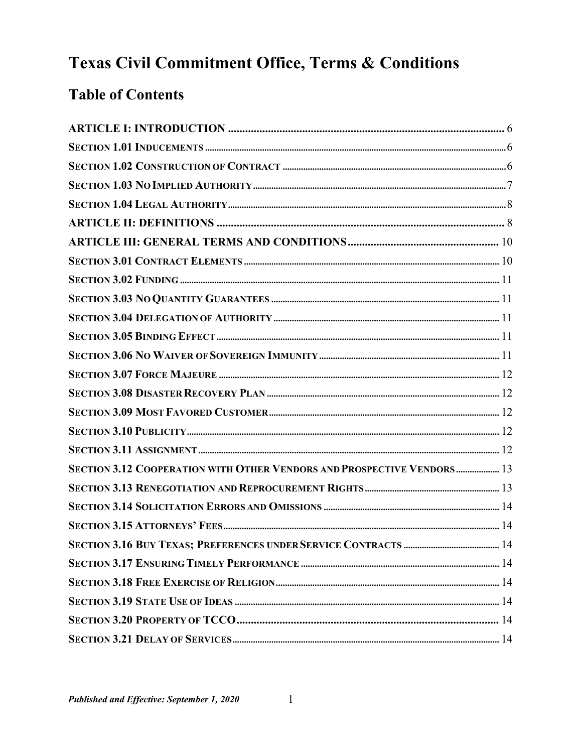# Texas Civil Commitment Office, Terms & Conditions

# **Table of Contents**

| SECTION 3.12 COOPERATION WITH OTHER VENDORS AND PROSPECTIVE VENDORS  13 |  |
|-------------------------------------------------------------------------|--|
|                                                                         |  |
|                                                                         |  |
|                                                                         |  |
|                                                                         |  |
|                                                                         |  |
|                                                                         |  |
|                                                                         |  |
|                                                                         |  |
|                                                                         |  |

 $\mathbf{1}$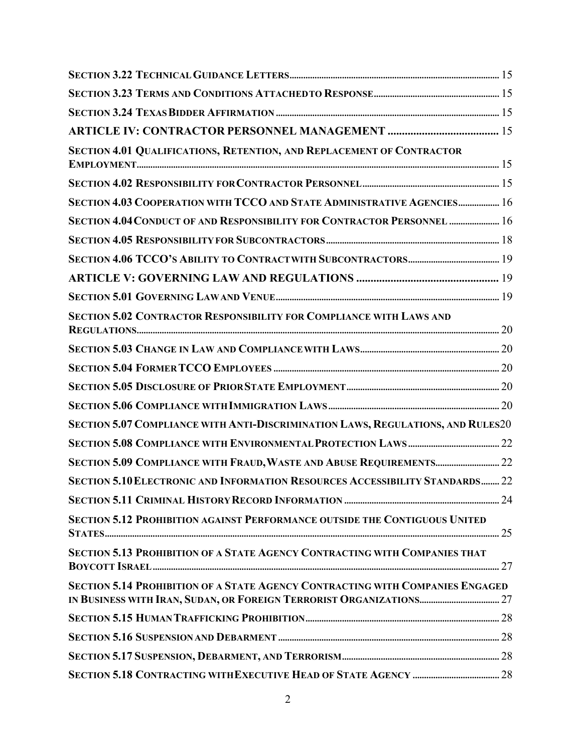| SECTION 4.01 QUALIFICATIONS, RETENTION, AND REPLACEMENT OF CONTRACTOR               |  |
|-------------------------------------------------------------------------------------|--|
|                                                                                     |  |
| SECTION 4.03 COOPERATION WITH TCCO AND STATE ADMINISTRATIVE AGENCIES 16             |  |
| SECTION 4.04 CONDUCT OF AND RESPONSIBILITY FOR CONTRACTOR PERSONNEL  16             |  |
|                                                                                     |  |
|                                                                                     |  |
|                                                                                     |  |
|                                                                                     |  |
| SECTION 5.02 CONTRACTOR RESPONSIBILITY FOR COMPLIANCE WITH LAWS AND                 |  |
|                                                                                     |  |
|                                                                                     |  |
|                                                                                     |  |
|                                                                                     |  |
| SECTION 5.07 COMPLIANCE WITH ANTI-DISCRIMINATION LAWS, REGULATIONS, AND RULES20     |  |
|                                                                                     |  |
|                                                                                     |  |
| <b>SECTION 5.10 ELECTRONIC AND INFORMATION RESOURCES ACCESSIBILITY STANDARDS 22</b> |  |
|                                                                                     |  |
| SECTION 5.12 PROHIBITION AGAINST PERFORMANCE OUTSIDE THE CONTIGUOUS UNITED          |  |
| SECTION 5.13 PROHIBITION OF A STATE AGENCY CONTRACTING WITH COMPANIES THAT          |  |
| SECTION 5.14 PROHIBITION OF A STATE AGENCY CONTRACTING WITH COMPANIES ENGAGED       |  |
|                                                                                     |  |
|                                                                                     |  |
|                                                                                     |  |
|                                                                                     |  |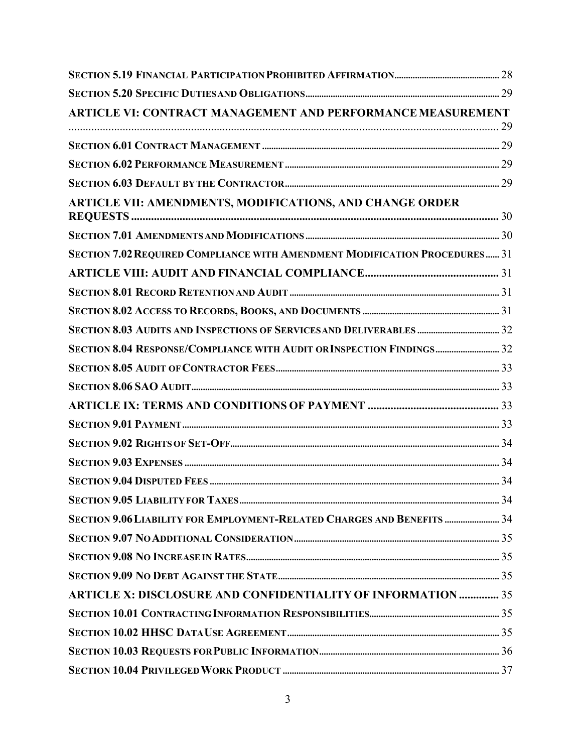| <b>ARTICLE VI: CONTRACT MANAGEMENT AND PERFORMANCE MEASUREMENT</b>         |  |
|----------------------------------------------------------------------------|--|
|                                                                            |  |
|                                                                            |  |
|                                                                            |  |
|                                                                            |  |
| ARTICLE VII: AMENDMENTS, MODIFICATIONS, AND CHANGE ORDER                   |  |
|                                                                            |  |
| SECTION 7.02 REQUIRED COMPLIANCE WITH AMENDMENT MODIFICATION PROCEDURES 31 |  |
|                                                                            |  |
|                                                                            |  |
|                                                                            |  |
|                                                                            |  |
| SECTION 8.04 RESPONSE/COMPLIANCE WITH AUDIT OR INSPECTION FINDINGS 32      |  |
|                                                                            |  |
|                                                                            |  |
|                                                                            |  |
|                                                                            |  |
|                                                                            |  |
|                                                                            |  |
|                                                                            |  |
|                                                                            |  |
| SECTION 9.06 LIABILITY FOR EMPLOYMENT-RELATED CHARGES AND BENEFITS  34     |  |
|                                                                            |  |
|                                                                            |  |
|                                                                            |  |
| <b>ARTICLE X: DISCLOSURE AND CONFIDENTIALITY OF INFORMATION  35</b>        |  |
|                                                                            |  |
|                                                                            |  |
|                                                                            |  |
|                                                                            |  |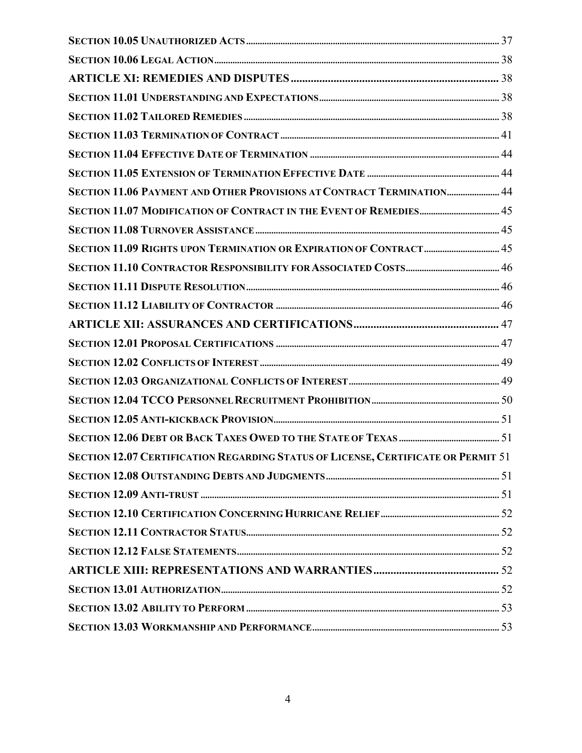| SECTION 11.06 PAYMENT AND OTHER PROVISIONS AT CONTRACT TERMINATION 44             |  |
|-----------------------------------------------------------------------------------|--|
|                                                                                   |  |
|                                                                                   |  |
| SECTION 11.09 RIGHTS UPON TERMINATION OR EXPIRATION OF CONTRACT  45               |  |
|                                                                                   |  |
|                                                                                   |  |
|                                                                                   |  |
|                                                                                   |  |
|                                                                                   |  |
|                                                                                   |  |
|                                                                                   |  |
|                                                                                   |  |
|                                                                                   |  |
|                                                                                   |  |
| SECTION 12.07 CERTIFICATION REGARDING STATUS OF LICENSE, CERTIFICATE OR PERMIT 51 |  |
|                                                                                   |  |
|                                                                                   |  |
|                                                                                   |  |
|                                                                                   |  |
|                                                                                   |  |
|                                                                                   |  |
|                                                                                   |  |
|                                                                                   |  |
|                                                                                   |  |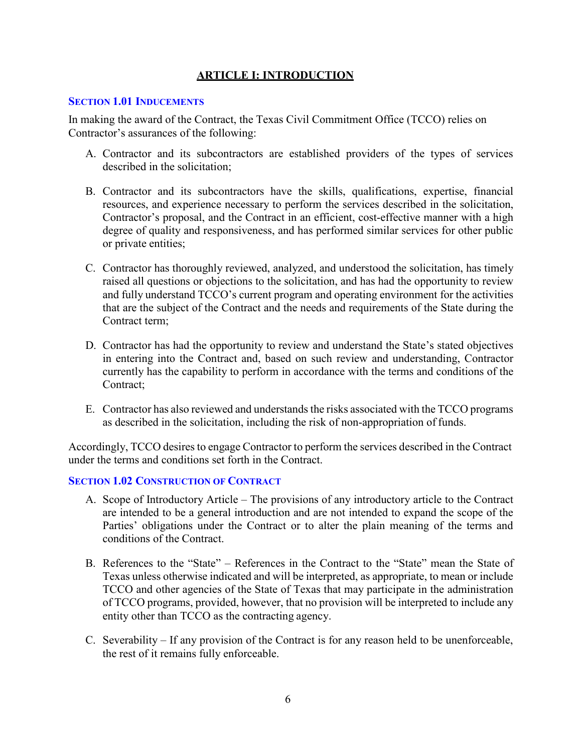# **ARTICLE I: INTRODUCTION**

#### <span id="page-5-1"></span><span id="page-5-0"></span>**SECTION 1.01 INDUCEMENTS**

In making the award of the Contract, the Texas Civil Commitment Office (TCCO) relies on Contractor's assurances of the following:

- A. Contractor and its subcontractors are established providers of the types of services described in the solicitation;
- B. Contractor and its subcontractors have the skills, qualifications, expertise, financial resources, and experience necessary to perform the services described in the solicitation, Contractor's proposal, and the Contract in an efficient, cost-effective manner with a high degree of quality and responsiveness, and has performed similar services for other public or private entities;
- C. Contractor has thoroughly reviewed, analyzed, and understood the solicitation, has timely raised all questions or objections to the solicitation, and has had the opportunity to review and fully understand TCCO's current program and operating environment for the activities that are the subject of the Contract and the needs and requirements of the State during the Contract term;
- D. Contractor has had the opportunity to review and understand the State's stated objectives in entering into the Contract and, based on such review and understanding, Contractor currently has the capability to perform in accordance with the terms and conditions of the Contract;
- E. Contractor has also reviewed and understands the risks associated with the TCCO programs as described in the solicitation, including the risk of non-appropriation of funds.

Accordingly, TCCO desires to engage Contractor to perform the services described in the Contract under the terms and conditions set forth in the Contract.

## <span id="page-5-2"></span>**SECTION 1.02 CONSTRUCTION OF CONTRACT**

- A. Scope of Introductory Article The provisions of any introductory article to the Contract are intended to be a general introduction and are not intended to expand the scope of the Parties' obligations under the Contract or to alter the plain meaning of the terms and conditions of the Contract.
- B. References to the "State" References in the Contract to the "State" mean the State of Texas unless otherwise indicated and will be interpreted, as appropriate, to mean or include TCCO and other agencies of the State of Texas that may participate in the administration of TCCO programs, provided, however, that no provision will be interpreted to include any entity other than TCCO as the contracting agency.
- C. Severability If any provision of the Contract is for any reason held to be unenforceable, the rest of it remains fully enforceable.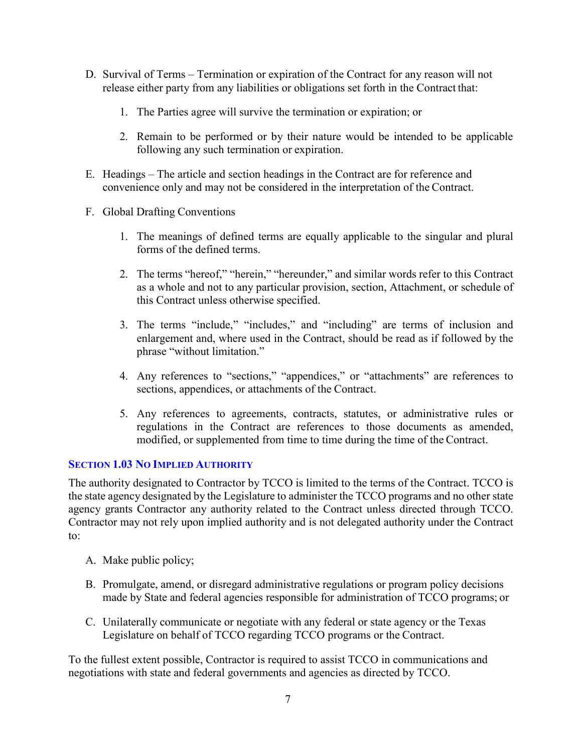- D. Survival of Terms Termination or expiration of the Contract for any reason will not release either party from any liabilities or obligations set forth in the Contract that:
	- 1. The Parties agree will survive the termination or expiration; or
	- 2. Remain to be performed or by their nature would be intended to be applicable following any such termination or expiration.
- E. Headings The article and section headings in the Contract are for reference and convenience only and may not be considered in the interpretation of the Contract.
- F. Global Drafting Conventions
	- 1. The meanings of defined terms are equally applicable to the singular and plural forms of the defined terms.
	- 2. The terms "hereof," "herein," "hereunder," and similar words refer to this Contract as a whole and not to any particular provision, section, Attachment, or schedule of this Contract unless otherwise specified.
	- 3. The terms "include," "includes," and "including" are terms of inclusion and enlargement and, where used in the Contract, should be read as if followed by the phrase "without limitation."
	- 4. Any references to "sections," "appendices," or "attachments" are references to sections, appendices, or attachments of the Contract.
	- 5. Any references to agreements, contracts, statutes, or administrative rules or regulations in the Contract are references to those documents as amended, modified, or supplemented from time to time during the time of the Contract.

# <span id="page-6-0"></span>**SECTION 1.03 NO IMPLIED AUTHORITY**

The authority designated to Contractor by TCCO is limited to the terms of the Contract. TCCO is the state agency designated by the Legislature to administer the TCCO programs and no other state agency grants Contractor any authority related to the Contract unless directed through TCCO. Contractor may not rely upon implied authority and is not delegated authority under the Contract to:

- A. Make public policy;
- B. Promulgate, amend, or disregard administrative regulations or program policy decisions made by State and federal agencies responsible for administration of TCCO programs; or
- C. Unilaterally communicate or negotiate with any federal or state agency or the Texas Legislature on behalf of TCCO regarding TCCO programs or the Contract.

To the fullest extent possible, Contractor is required to assist TCCO in communications and negotiations with state and federal governments and agencies as directed by TCCO.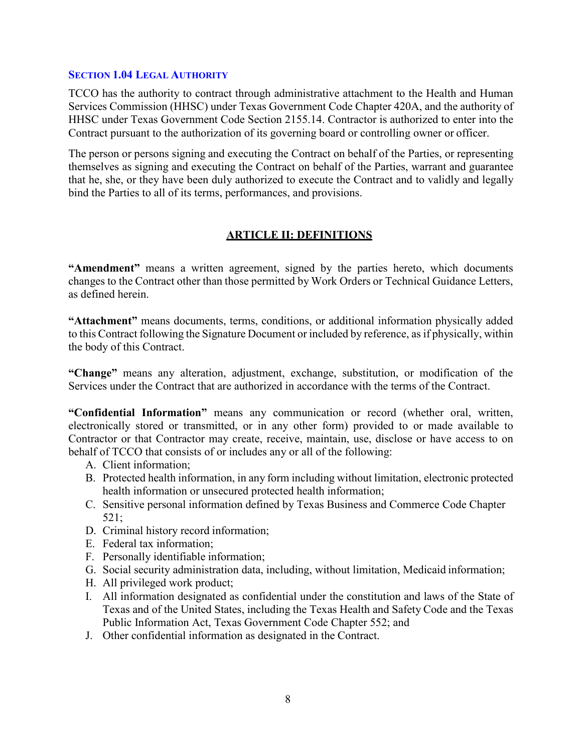#### <span id="page-7-0"></span>**SECTION 1.04 LEGAL AUTHORITY**

TCCO has the authority to contract through administrative attachment to the Health and Human Services Commission (HHSC) under Texas Government Code Chapter 420A, and the authority of HHSC under Texas Government Code Section 2155.14. Contractor is authorized to enter into the Contract pursuant to the authorization of its governing board or controlling owner or officer.

The person or persons signing and executing the Contract on behalf of the Parties, or representing themselves as signing and executing the Contract on behalf of the Parties, warrant and guarantee that he, she, or they have been duly authorized to execute the Contract and to validly and legally bind the Parties to all of its terms, performances, and provisions.

# **ARTICLE II: DEFINITIONS**

<span id="page-7-1"></span>**"Amendment"** means a written agreement, signed by the parties hereto, which documents changes to the Contract other than those permitted by Work Orders or Technical Guidance Letters, as defined herein.

**"Attachment"** means documents, terms, conditions, or additional information physically added to this Contract following the Signature Document or included by reference, as if physically, within the body of this Contract.

**"Change"** means any alteration, adjustment, exchange, substitution, or modification of the Services under the Contract that are authorized in accordance with the terms of the Contract.

**"Confidential Information"** means any communication or record (whether oral, written, electronically stored or transmitted, or in any other form) provided to or made available to Contractor or that Contractor may create, receive, maintain, use, disclose or have access to on behalf of TCCO that consists of or includes any or all of the following:

- A. Client information;
- B. Protected health information, in any form including without limitation, electronic protected health information or unsecured protected health information;
- C. Sensitive personal information defined by Texas Business and Commerce Code Chapter 521;
- D. Criminal history record information;
- E. Federal tax information;
- F. Personally identifiable information;
- G. Social security administration data, including, without limitation, Medicaid information;
- H. All privileged work product;
- I. All information designated as confidential under the constitution and laws of the State of Texas and of the United States, including the Texas Health and Safety Code and the Texas Public Information Act, Texas Government Code Chapter 552; and
- J. Other confidential information as designated in the Contract.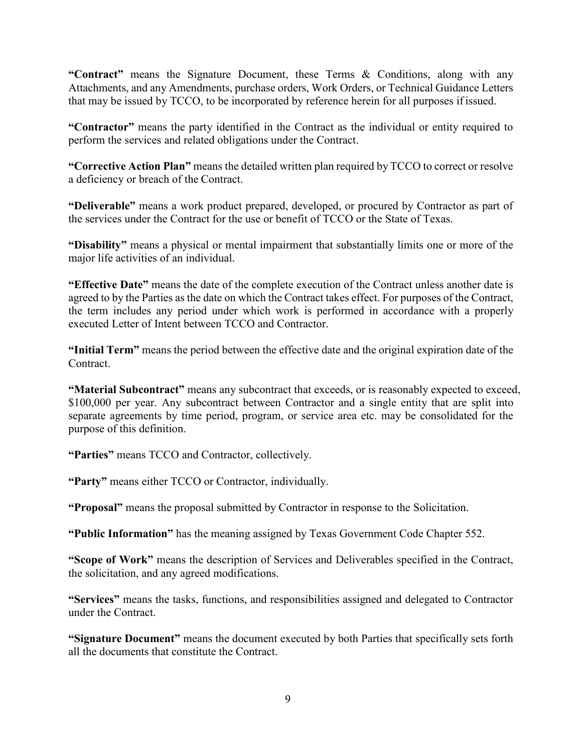**"Contract"** means the Signature Document, these Terms & Conditions, along with any Attachments, and any Amendments, purchase orders, Work Orders, or Technical Guidance Letters that may be issued by TCCO, to be incorporated by reference herein for all purposes ifissued.

**"Contractor"** means the party identified in the Contract as the individual or entity required to perform the services and related obligations under the Contract.

**"Corrective Action Plan"** means the detailed written plan required by TCCO to correct or resolve a deficiency or breach of the Contract.

**"Deliverable"** means a work product prepared, developed, or procured by Contractor as part of the services under the Contract for the use or benefit of TCCO or the State of Texas.

**"Disability"** means a physical or mental impairment that substantially limits one or more of the major life activities of an individual.

**"Effective Date"** means the date of the complete execution of the Contract unless another date is agreed to by the Parties as the date on which the Contract takes effect. For purposes of the Contract, the term includes any period under which work is performed in accordance with a properly executed Letter of Intent between TCCO and Contractor.

**"Initial Term"** means the period between the effective date and the original expiration date of the Contract.

**"Material Subcontract"** means any subcontract that exceeds, or is reasonably expected to exceed, \$100,000 per year. Any subcontract between Contractor and a single entity that are split into separate agreements by time period, program, or service area etc. may be consolidated for the purpose of this definition.

**"Parties"** means TCCO and Contractor, collectively.

**"Party"** means either TCCO or Contractor, individually.

**"Proposal"** means the proposal submitted by Contractor in response to the Solicitation.

**"Public Information"** has the meaning assigned by Texas Government Code Chapter 552.

**"Scope of Work"** means the description of Services and Deliverables specified in the Contract, the solicitation, and any agreed modifications.

**"Services"** means the tasks, functions, and responsibilities assigned and delegated to Contractor under the Contract.

**"Signature Document"** means the document executed by both Parties that specifically sets forth all the documents that constitute the Contract.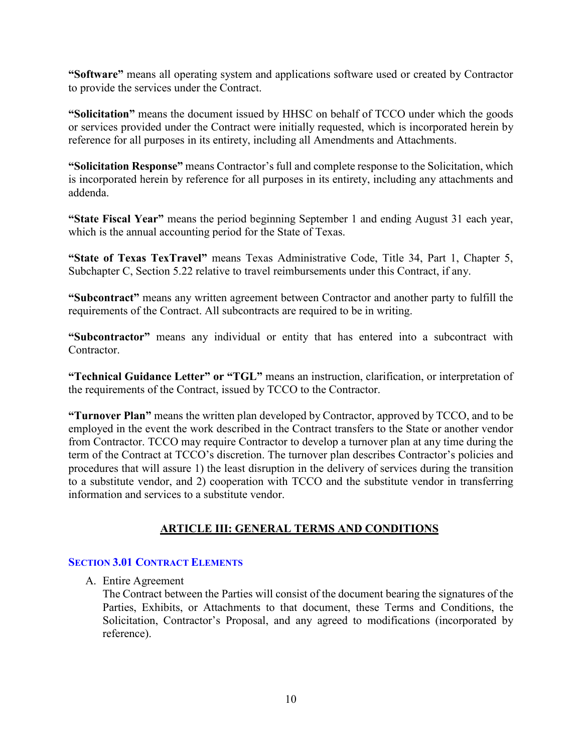**"Software"** means all operating system and applications software used or created by Contractor to provide the services under the Contract.

**"Solicitation"** means the document issued by HHSC on behalf of TCCO under which the goods or services provided under the Contract were initially requested, which is incorporated herein by reference for all purposes in its entirety, including all Amendments and Attachments.

**"Solicitation Response"** means Contractor's full and complete response to the Solicitation, which is incorporated herein by reference for all purposes in its entirety, including any attachments and addenda.

**"State Fiscal Year"** means the period beginning September 1 and ending August 31 each year, which is the annual accounting period for the State of Texas.

**"State of Texas TexTravel"** means Texas Administrative Code, Title 34, Part 1, Chapter 5, Subchapter C, Section 5.22 relative to travel reimbursements under this Contract, if any.

**"Subcontract"** means any written agreement between Contractor and another party to fulfill the requirements of the Contract. All subcontracts are required to be in writing.

**"Subcontractor"** means any individual or entity that has entered into a subcontract with Contractor.

**"Technical Guidance Letter" or "TGL"** means an instruction, clarification, or interpretation of the requirements of the Contract, issued by TCCO to the Contractor.

**"Turnover Plan"** means the written plan developed by Contractor, approved by TCCO, and to be employed in the event the work described in the Contract transfers to the State or another vendor from Contractor. TCCO may require Contractor to develop a turnover plan at any time during the term of the Contract at TCCO's discretion. The turnover plan describes Contractor's policies and procedures that will assure 1) the least disruption in the delivery of services during the transition to a substitute vendor, and 2) cooperation with TCCO and the substitute vendor in transferring information and services to a substitute vendor.

# **ARTICLE III: GENERAL TERMS AND CONDITIONS**

# <span id="page-9-1"></span><span id="page-9-0"></span>**SECTION 3.01 CONTRACT ELEMENTS**

A. Entire Agreement

The Contract between the Parties will consist of the document bearing the signatures of the Parties, Exhibits, or Attachments to that document, these Terms and Conditions, the Solicitation, Contractor's Proposal, and any agreed to modifications (incorporated by reference).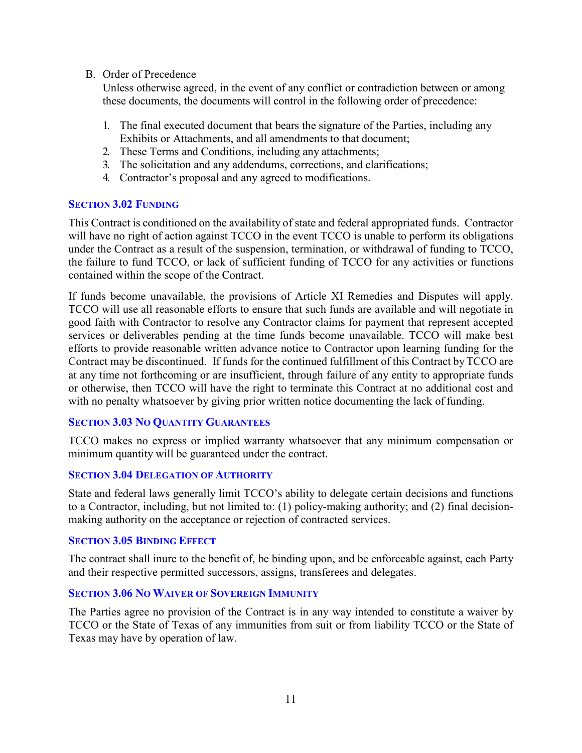## B. Order of Precedence

Unless otherwise agreed, in the event of any conflict or contradiction between or among these documents, the documents will control in the following order of precedence:

- 1. The final executed document that bears the signature of the Parties, including any Exhibits or Attachments, and all amendments to that document;
- 2. These Terms and Conditions, including any attachments;
- 3. The solicitation and any addendums, corrections, and clarifications;
- 4. Contractor's proposal and any agreed to modifications.

## <span id="page-10-0"></span>**SECTION 3.02 FUNDING**

This Contract is conditioned on the availability of state and federal appropriated funds. Contractor will have no right of action against TCCO in the event TCCO is unable to perform its obligations under the Contract as a result of the suspension, termination, or withdrawal of funding to TCCO, the failure to fund TCCO, or lack of sufficient funding of TCCO for any activities or functions contained within the scope of the Contract.

If funds become unavailable, the provisions of Article XI Remedies and Disputes will apply. TCCO will use all reasonable efforts to ensure that such funds are available and will negotiate in good faith with Contractor to resolve any Contractor claims for payment that represent accepted services or deliverables pending at the time funds become unavailable. TCCO will make best efforts to provide reasonable written advance notice to Contractor upon learning funding for the Contract may be discontinued. If funds for the continued fulfillment of this Contract byTCCO are at any time not forthcoming or are insufficient, through failure of any entity to appropriate funds or otherwise, then TCCO will have the right to terminate this Contract at no additional cost and with no penalty whatsoever by giving prior written notice documenting the lack of funding.

# <span id="page-10-1"></span>**SECTION 3.03 NO QUANTITY GUARANTEES**

TCCO makes no express or implied warranty whatsoever that any minimum compensation or minimum quantity will be guaranteed under the contract.

## <span id="page-10-2"></span>**SECTION 3.04 DELEGATION OF AUTHORITY**

State and federal laws generally limit TCCO's ability to delegate certain decisions and functions to a Contractor, including, but not limited to: (1) policy-making authority; and (2) final decisionmaking authority on the acceptance or rejection of contracted services.

## <span id="page-10-3"></span>**SECTION 3.05 BINDING EFFECT**

The contract shall inure to the benefit of, be binding upon, and be enforceable against, each Party and their respective permitted successors, assigns, transferees and delegates.

## <span id="page-10-4"></span>**SECTION 3.06 NO WAIVER OF SOVEREIGN IMMUNITY**

The Parties agree no provision of the Contract is in any way intended to constitute a waiver by TCCO or the State of Texas of any immunities from suit or from liability TCCO or the State of Texas may have by operation of law.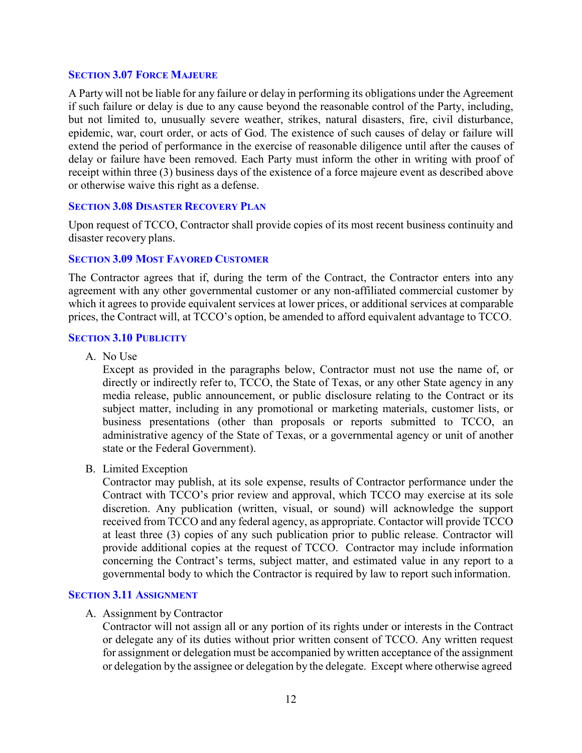#### <span id="page-11-0"></span>**SECTION 3.07 FORCE MAJEURE**

A Party will not be liable for any failure or delay in performing its obligations under the Agreement if such failure or delay is due to any cause beyond the reasonable control of the Party, including, but not limited to, unusually severe weather, strikes, natural disasters, fire, civil disturbance, epidemic, war, court order, or acts of God. The existence of such causes of delay or failure will extend the period of performance in the exercise of reasonable diligence until after the causes of delay or failure have been removed. Each Party must inform the other in writing with proof of receipt within three (3) business days of the existence of a force majeure event as described above or otherwise waive this right as a defense.

#### <span id="page-11-1"></span>**SECTION 3.08 DISASTER RECOVERY PLAN**

Upon request of TCCO, Contractor shall provide copies of its most recent business continuity and disaster recovery plans.

#### <span id="page-11-2"></span>**SECTION 3.09 MOST FAVORED CUSTOMER**

The Contractor agrees that if, during the term of the Contract, the Contractor enters into any agreement with any other governmental customer or any non-affiliated commercial customer by which it agrees to provide equivalent services at lower prices, or additional services at comparable prices, the Contract will, at TCCO's option, be amended to afford equivalent advantage to TCCO.

#### <span id="page-11-3"></span>**SECTION 3.10 PUBLICITY**

A. No Use

Except as provided in the paragraphs below, Contractor must not use the name of, or directly or indirectly refer to, TCCO, the State of Texas, or any other State agency in any media release, public announcement, or public disclosure relating to the Contract or its subject matter, including in any promotional or marketing materials, customer lists, or business presentations (other than proposals or reports submitted to TCCO, an administrative agency of the State of Texas, or a governmental agency or unit of another state or the Federal Government).

B. Limited Exception

Contractor may publish, at its sole expense, results of Contractor performance under the Contract with TCCO's prior review and approval, which TCCO may exercise at its sole discretion. Any publication (written, visual, or sound) will acknowledge the support received from TCCO and any federal agency, as appropriate. Contactor will provide TCCO at least three (3) copies of any such publication prior to public release. Contractor will provide additional copies at the request of TCCO. Contractor may include information concerning the Contract's terms, subject matter, and estimated value in any report to a governmental body to which the Contractor is required by law to report such information.

#### <span id="page-11-4"></span>**SECTION 3.11 ASSIGNMENT**

#### A. Assignment by Contractor

Contractor will not assign all or any portion of its rights under or interests in the Contract or delegate any of its duties without prior written consent of TCCO. Any written request for assignment or delegation must be accompanied by written acceptance of the assignment or delegation by the assignee or delegation by the delegate. Except where otherwise agreed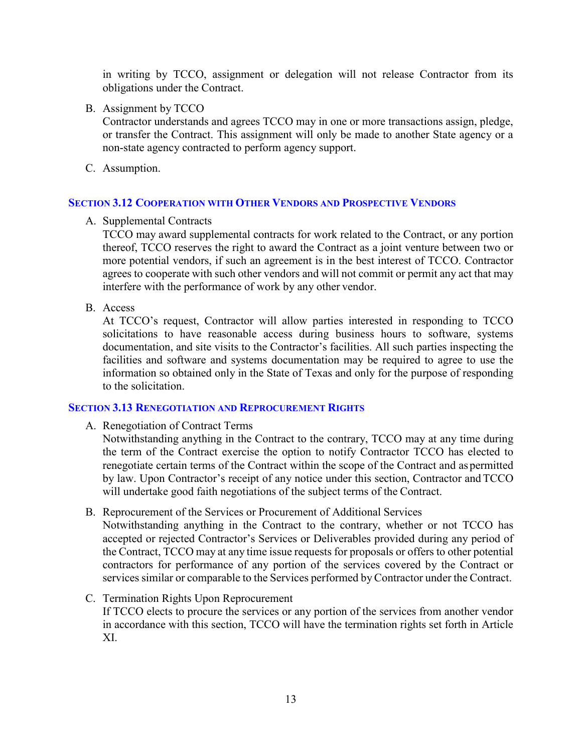in writing by TCCO, assignment or delegation will not release Contractor from its obligations under the Contract.

B. Assignment by TCCO

Contractor understands and agrees TCCO may in one or more transactions assign, pledge, or transfer the Contract. This assignment will only be made to another State agency or a non-state agency contracted to perform agency support.

C. Assumption.

# <span id="page-12-0"></span>**SECTION 3.12 COOPERATION WITH OTHER VENDORS AND PROSPECTIVE VENDORS**

A. Supplemental Contracts

TCCO may award supplemental contracts for work related to the Contract, or any portion thereof, TCCO reserves the right to award the Contract as a joint venture between two or more potential vendors, if such an agreement is in the best interest of TCCO. Contractor agrees to cooperate with such other vendors and will not commit or permit any act that may interfere with the performance of work by any other vendor.

B. Access

At TCCO's request, Contractor will allow parties interested in responding to TCCO solicitations to have reasonable access during business hours to software, systems documentation, and site visits to the Contractor's facilities. All such parties inspecting the facilities and software and systems documentation may be required to agree to use the information so obtained only in the State of Texas and only for the purpose of responding to the solicitation.

## <span id="page-12-1"></span>**SECTION 3.13 RENEGOTIATION AND REPROCUREMENT RIGHTS**

A. Renegotiation of Contract Terms

Notwithstanding anything in the Contract to the contrary, TCCO may at any time during the term of the Contract exercise the option to notify Contractor TCCO has elected to renegotiate certain terms of the Contract within the scope of the Contract and as permitted by law. Upon Contractor's receipt of any notice under this section, Contractor and TCCO will undertake good faith negotiations of the subject terms of the Contract.

B. Reprocurement of the Services or Procurement of Additional Services

Notwithstanding anything in the Contract to the contrary, whether or not TCCO has accepted or rejected Contractor's Services or Deliverables provided during any period of the Contract, TCCO may at any time issue requests for proposals or offers to other potential contractors for performance of any portion of the services covered by the Contract or services similar or comparable to the Services performed byContractor under the Contract.

# C. Termination Rights Upon Reprocurement

If TCCO elects to procure the services or any portion of the services from another vendor in accordance with this section, TCCO will have the termination rights set forth in Article XI.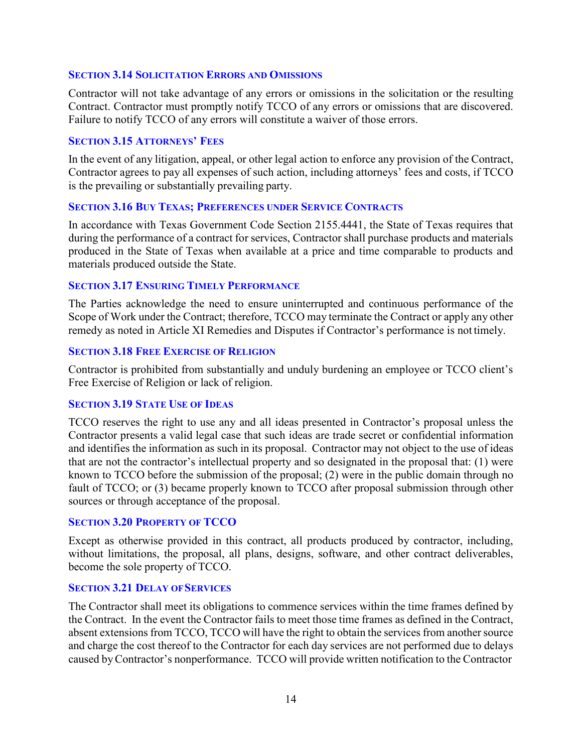#### <span id="page-13-0"></span>**SECTION 3.14 SOLICITATION ERRORS AND OMISSIONS**

Contractor will not take advantage of any errors or omissions in the solicitation or the resulting Contract. Contractor must promptly notify TCCO of any errors or omissions that are discovered. Failure to notify TCCO of any errors will constitute a waiver of those errors.

#### <span id="page-13-1"></span>**SECTION 3.15 ATTORNEYS' FEES**

In the event of any litigation, appeal, or other legal action to enforce any provision of the Contract, Contractor agrees to pay all expenses of such action, including attorneys' fees and costs, if TCCO is the prevailing or substantially prevailing party.

#### <span id="page-13-2"></span>**SECTION 3.16 BUY TEXAS; PREFERENCES UNDER SERVICE CONTRACTS**

In accordance with Texas Government Code Section 2155.4441, the State of Texas requires that during the performance of a contract for services, Contractor shall purchase products and materials produced in the State of Texas when available at a price and time comparable to products and materials produced outside the State.

#### <span id="page-13-3"></span>**SECTION 3.17 ENSURING TIMELY PERFORMANCE**

The Parties acknowledge the need to ensure uninterrupted and continuous performance of the Scope of Work under the Contract; therefore, TCCO may terminate the Contract or apply any other remedy as noted in Article XI Remedies and Disputes if Contractor's performance is not timely.

#### <span id="page-13-4"></span>**SECTION 3.18 FREE EXERCISE OF RELIGION**

Contractor is prohibited from substantially and unduly burdening an employee or TCCO client's Free Exercise of Religion or lack of religion.

## <span id="page-13-5"></span>**SECTION 3.19 STATE USE OF IDEAS**

TCCO reserves the right to use any and all ideas presented in Contractor's proposal unless the Contractor presents a valid legal case that such ideas are trade secret or confidential information and identifies the information as such in its proposal. Contractor may not object to the use of ideas that are not the contractor's intellectual property and so designated in the proposal that: (1) were known to TCCO before the submission of the proposal; (2) were in the public domain through no fault of TCCO; or (3) became properly known to TCCO after proposal submission through other sources or through acceptance of the proposal.

#### <span id="page-13-6"></span>**SECTION 3.20 PROPERTY OF TCCO**

Except as otherwise provided in this contract, all products produced by contractor, including, without limitations, the proposal, all plans, designs, software, and other contract deliverables, become the sole property of TCCO.

#### <span id="page-13-7"></span>**SECTION 3.21 DELAY OF SERVICES**

The Contractor shall meet its obligations to commence services within the time frames defined by the Contract. In the event the Contractor fails to meet those time frames as defined in the Contract, absent extensions from TCCO, TCCO will have the right to obtain the services from another source and charge the cost thereof to the Contractor for each day services are not performed due to delays caused byContractor's nonperformance. TCCO will provide written notification to the Contractor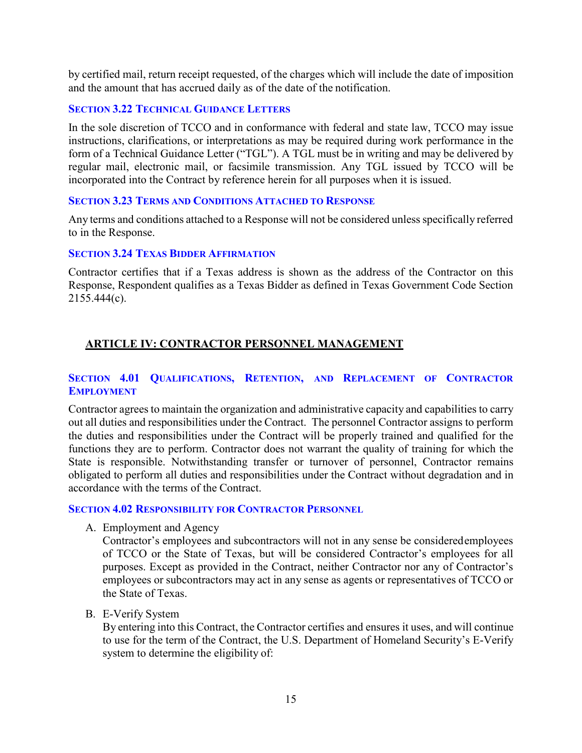by certified mail, return receipt requested, of the charges which will include the date of imposition and the amount that has accrued daily as of the date of the notification.

## <span id="page-14-0"></span>**SECTION 3.22 TECHNICAL GUIDANCE LETTERS**

In the sole discretion of TCCO and in conformance with federal and state law, TCCO may issue instructions, clarifications, or interpretations as may be required during work performance in the form of a Technical Guidance Letter ("TGL"). A TGL must be in writing and may be delivered by regular mail, electronic mail, or facsimile transmission. Any TGL issued by TCCO will be incorporated into the Contract by reference herein for all purposes when it is issued.

## <span id="page-14-1"></span>**SECTION 3.23 TERMS AND CONDITIONS ATTACHED TO RESPONSE**

Any terms and conditions attached to a Response will not be considered unless specifically referred to in the Response.

## <span id="page-14-2"></span>**SECTION 3.24 TEXAS BIDDER AFFIRMATION**

Contractor certifies that if a Texas address is shown as the address of the Contractor on this Response, Respondent qualifies as a Texas Bidder as defined in Texas Government Code Section 2155.444(c).

# <span id="page-14-3"></span>**ARTICLE IV: CONTRACTOR PERSONNEL MANAGEMENT**

## <span id="page-14-4"></span>**SECTION 4.01 QUALIFICATIONS, RETENTION, AND REPLACEMENT OF CONTRACTOR EMPLOYMENT**

Contractor agrees to maintain the organization and administrative capacity and capabilities to carry out all duties and responsibilities under the Contract. The personnel Contractor assigns to perform the duties and responsibilities under the Contract will be properly trained and qualified for the functions they are to perform. Contractor does not warrant the quality of training for which the State is responsible. Notwithstanding transfer or turnover of personnel, Contractor remains obligated to perform all duties and responsibilities under the Contract without degradation and in accordance with the terms of the Contract.

#### <span id="page-14-5"></span>**SECTION 4.02 RESPONSIBILITY FOR CONTRACTOR PERSONNEL**

A. Employment and Agency

Contractor's employees and subcontractors will not in any sense be consideredemployees of TCCO or the State of Texas, but will be considered Contractor's employees for all purposes. Except as provided in the Contract, neither Contractor nor any of Contractor's employees or subcontractors may act in any sense as agents or representatives of TCCO or the State of Texas.

B. E-Verify System

By entering into this Contract, the Contractor certifies and ensures it uses, and will continue to use for the term of the Contract, the U.S. Department of Homeland Security's E-Verify system to determine the eligibility of: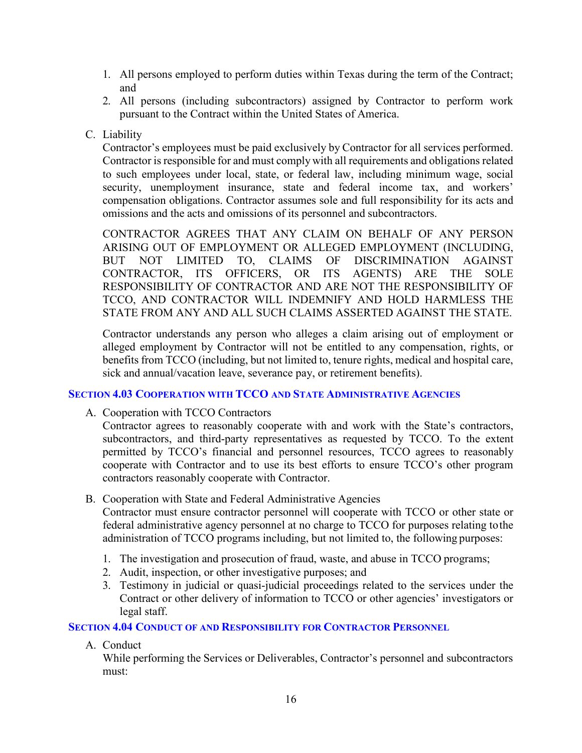- 1. All persons employed to perform duties within Texas during the term of the Contract; and
- 2. All persons (including subcontractors) assigned by Contractor to perform work pursuant to the Contract within the United States of America.
- C. Liability

Contractor's employees must be paid exclusively by Contractor for all services performed. Contractor is responsible for and must complywith all requirements and obligations related to such employees under local, state, or federal law, including minimum wage, social security, unemployment insurance, state and federal income tax, and workers' compensation obligations. Contractor assumes sole and full responsibility for its acts and omissions and the acts and omissions of its personnel and subcontractors.

CONTRACTOR AGREES THAT ANY CLAIM ON BEHALF OF ANY PERSON ARISING OUT OF EMPLOYMENT OR ALLEGED EMPLOYMENT (INCLUDING, BUT NOT LIMITED TO, CLAIMS OF DISCRIMINATION AGAINST CONTRACTOR, ITS OFFICERS, OR ITS AGENTS) ARE THE SOLE RESPONSIBILITY OF CONTRACTOR AND ARE NOT THE RESPONSIBILITY OF TCCO, AND CONTRACTOR WILL INDEMNIFY AND HOLD HARMLESS THE STATE FROM ANY AND ALL SUCH CLAIMS ASSERTED AGAINST THE STATE.

Contractor understands any person who alleges a claim arising out of employment or alleged employment by Contractor will not be entitled to any compensation, rights, or benefits from TCCO (including, but not limited to, tenure rights, medical and hospital care, sick and annual/vacation leave, severance pay, or retirement benefits).

# <span id="page-15-0"></span>**SECTION 4.03 COOPERATION WITH TCCO AND STATE ADMINISTRATIVE AGENCIES**

A. Cooperation with TCCO Contractors

Contractor agrees to reasonably cooperate with and work with the State's contractors, subcontractors, and third-party representatives as requested by TCCO. To the extent permitted by TCCO's financial and personnel resources, TCCO agrees to reasonably cooperate with Contractor and to use its best efforts to ensure TCCO's other program contractors reasonably cooperate with Contractor.

B. Cooperation with State and Federal Administrative Agencies

Contractor must ensure contractor personnel will cooperate with TCCO or other state or federal administrative agency personnel at no charge to TCCO for purposes relating tothe administration of TCCO programs including, but not limited to, the following purposes:

- 1. The investigation and prosecution of fraud, waste, and abuse in TCCO programs;
- 2. Audit, inspection, or other investigative purposes; and
- 3. Testimony in judicial or quasi-judicial proceedings related to the services under the Contract or other delivery of information to TCCO or other agencies' investigators or legal staff.

<span id="page-15-1"></span>**SECTION 4.04 CONDUCT OF AND RESPONSIBILITY FOR CONTRACTOR PERSONNEL**

A. Conduct

While performing the Services or Deliverables, Contractor's personnel and subcontractors must: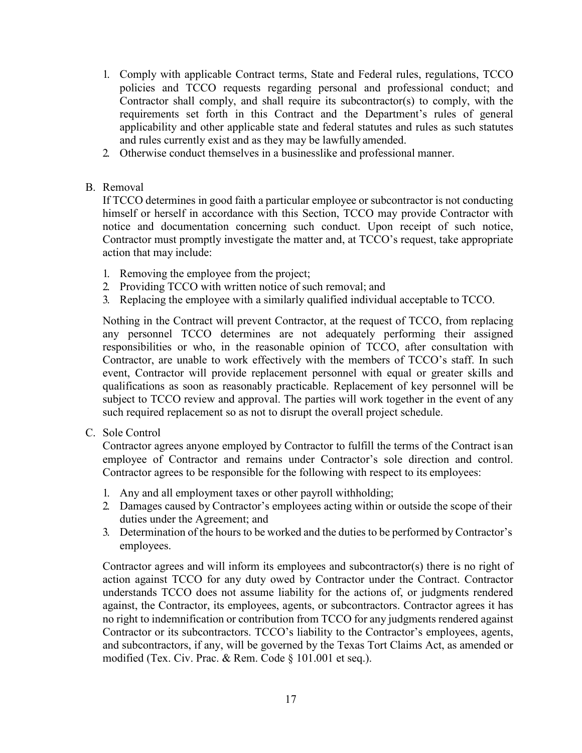- 1. Comply with applicable Contract terms, State and Federal rules, regulations, TCCO policies and TCCO requests regarding personal and professional conduct; and Contractor shall comply, and shall require its subcontractor(s) to comply, with the requirements set forth in this Contract and the Department's rules of general applicability and other applicable state and federal statutes and rules as such statutes and rules currently exist and as they may be lawfully amended.
- 2. Otherwise conduct themselves in a businesslike and professional manner.

# B. Removal

If TCCO determines in good faith a particular employee or subcontractor is not conducting himself or herself in accordance with this Section, TCCO may provide Contractor with notice and documentation concerning such conduct. Upon receipt of such notice, Contractor must promptly investigate the matter and, at TCCO's request, take appropriate action that may include:

- 1. Removing the employee from the project;
- 2. Providing TCCO with written notice of such removal; and
- 3. Replacing the employee with a similarly qualified individual acceptable to TCCO.

Nothing in the Contract will prevent Contractor, at the request of TCCO, from replacing any personnel TCCO determines are not adequately performing their assigned responsibilities or who, in the reasonable opinion of TCCO, after consultation with Contractor, are unable to work effectively with the members of TCCO's staff. In such event, Contractor will provide replacement personnel with equal or greater skills and qualifications as soon as reasonably practicable. Replacement of key personnel will be subject to TCCO review and approval. The parties will work together in the event of any such required replacement so as not to disrupt the overall project schedule.

C. Sole Control

Contractor agrees anyone employed by Contractor to fulfill the terms of the Contract isan employee of Contractor and remains under Contractor's sole direction and control. Contractor agrees to be responsible for the following with respect to its employees:

- 1. Any and all employment taxes or other payroll withholding;
- 2. Damages caused by Contractor's employees acting within or outside the scope of their duties under the Agreement; and
- 3. Determination of the hours to be worked and the duties to be performed by Contractor's employees.

Contractor agrees and will inform its employees and subcontractor(s) there is no right of action against TCCO for any duty owed by Contractor under the Contract. Contractor understands TCCO does not assume liability for the actions of, or judgments rendered against, the Contractor, its employees, agents, or subcontractors. Contractor agrees it has no right to indemnification or contribution from TCCO for any judgments rendered against Contractor or its subcontractors. TCCO's liability to the Contractor's employees, agents, and subcontractors, if any, will be governed by the Texas Tort Claims Act, as amended or modified (Tex. Civ. Prac. & Rem. Code § 101.001 et seq.).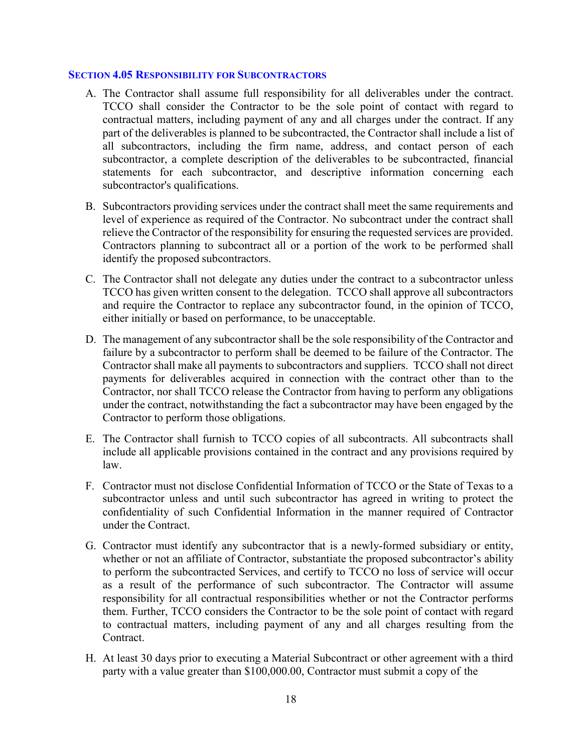#### <span id="page-17-0"></span>**SECTION 4.05 RESPONSIBILITY FOR SUBCONTRACTORS**

- A. The Contractor shall assume full responsibility for all deliverables under the contract. TCCO shall consider the Contractor to be the sole point of contact with regard to contractual matters, including payment of any and all charges under the contract. If any part of the deliverables is planned to be subcontracted, the Contractor shall include a list of all subcontractors, including the firm name, address, and contact person of each subcontractor, a complete description of the deliverables to be subcontracted, financial statements for each subcontractor, and descriptive information concerning each subcontractor's qualifications.
- B. Subcontractors providing services under the contract shall meet the same requirements and level of experience as required of the Contractor. No subcontract under the contract shall relieve the Contractor of the responsibility for ensuring the requested services are provided. Contractors planning to subcontract all or a portion of the work to be performed shall identify the proposed subcontractors.
- C. The Contractor shall not delegate any duties under the contract to a subcontractor unless TCCO has given written consent to the delegation. TCCO shall approve all subcontractors and require the Contractor to replace any subcontractor found, in the opinion of TCCO, either initially or based on performance, to be unacceptable.
- D. The management of any subcontractor shall be the sole responsibility of the Contractor and failure by a subcontractor to perform shall be deemed to be failure of the Contractor. The Contractor shall make all payments to subcontractors and suppliers. TCCO shall not direct payments for deliverables acquired in connection with the contract other than to the Contractor, nor shall TCCO release the Contractor from having to perform any obligations under the contract, notwithstanding the fact a subcontractor may have been engaged by the Contractor to perform those obligations.
- E. The Contractor shall furnish to TCCO copies of all subcontracts. All subcontracts shall include all applicable provisions contained in the contract and any provisions required by law.
- F. Contractor must not disclose Confidential Information of TCCO or the State of Texas to a subcontractor unless and until such subcontractor has agreed in writing to protect the confidentiality of such Confidential Information in the manner required of Contractor under the Contract.
- G. Contractor must identify any subcontractor that is a newly-formed subsidiary or entity, whether or not an affiliate of Contractor, substantiate the proposed subcontractor's ability to perform the subcontracted Services, and certify to TCCO no loss of service will occur as a result of the performance of such subcontractor. The Contractor will assume responsibility for all contractual responsibilities whether or not the Contractor performs them. Further, TCCO considers the Contractor to be the sole point of contact with regard to contractual matters, including payment of any and all charges resulting from the Contract.
- H. At least 30 days prior to executing a Material Subcontract or other agreement with a third party with a value greater than \$100,000.00, Contractor must submit a copy of the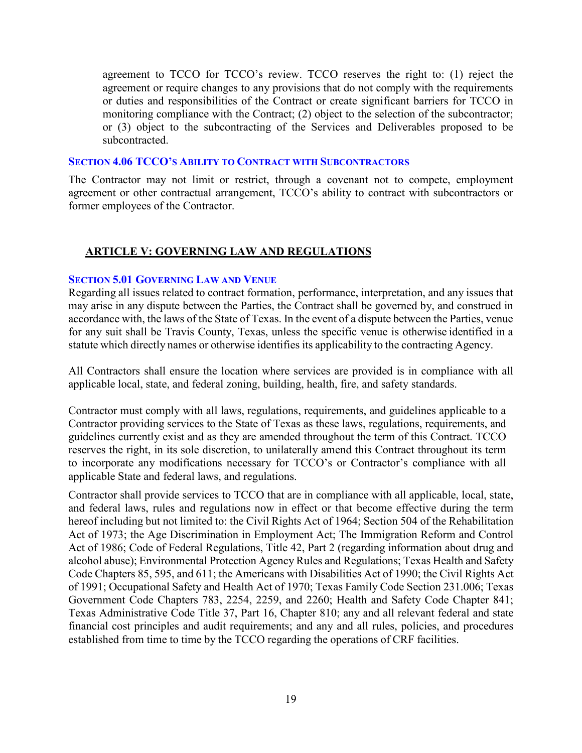agreement to TCCO for TCCO's review. TCCO reserves the right to: (1) reject the agreement or require changes to any provisions that do not comply with the requirements or duties and responsibilities of the Contract or create significant barriers for TCCO in monitoring compliance with the Contract; (2) object to the selection of the subcontractor; or (3) object to the subcontracting of the Services and Deliverables proposed to be subcontracted.

#### <span id="page-18-0"></span>**SECTION 4.06 TCCO'S ABILITY TO CONTRACT WITH SUBCONTRACTORS**

The Contractor may not limit or restrict, through a covenant not to compete, employment agreement or other contractual arrangement, TCCO's ability to contract with subcontractors or former employees of the Contractor.

# <span id="page-18-1"></span>**ARTICLE V: GOVERNING LAW AND REGULATIONS**

## <span id="page-18-2"></span>**SECTION 5.01 GOVERNING LAW AND VENUE**

Regarding all issues related to contract formation, performance, interpretation, and any issues that may arise in any dispute between the Parties, the Contract shall be governed by, and construed in accordance with, the laws of the State of Texas. In the event of a dispute between the Parties, venue for any suit shall be Travis County, Texas, unless the specific venue is otherwise identified in a statute which directly names or otherwise identifies its applicability to the contracting Agency.

All Contractors shall ensure the location where services are provided is in compliance with all applicable local, state, and federal zoning, building, health, fire, and safety standards.

Contractor must comply with all laws, regulations, requirements, and guidelines applicable to a Contractor providing services to the State of Texas as these laws, regulations, requirements, and guidelines currently exist and as they are amended throughout the term of this Contract. TCCO reserves the right, in its sole discretion, to unilaterally amend this Contract throughout its term to incorporate any modifications necessary for TCCO's or Contractor's compliance with all applicable State and federal laws, and regulations.

Contractor shall provide services to TCCO that are in compliance with all applicable, local, state, and federal laws, rules and regulations now in effect or that become effective during the term hereof including but not limited to: the Civil Rights Act of 1964; Section 504 of the Rehabilitation Act of 1973; the Age Discrimination in Employment Act; The Immigration Reform and Control Act of 1986; Code of Federal Regulations, Title 42, Part 2 (regarding information about drug and alcohol abuse); Environmental Protection Agency Rules and Regulations; Texas Health and Safety Code Chapters 85, 595, and 611; the Americans with Disabilities Act of 1990; the Civil Rights Act of 1991; Occupational Safety and Health Act of 1970; Texas Family Code Section 231.006; Texas Government Code Chapters 783, 2254, 2259, and 2260; Health and Safety Code Chapter 841; Texas Administrative Code Title 37, Part 16, Chapter 810; any and all relevant federal and state financial cost principles and audit requirements; and any and all rules, policies, and procedures established from time to time by the TCCO regarding the operations of CRF facilities.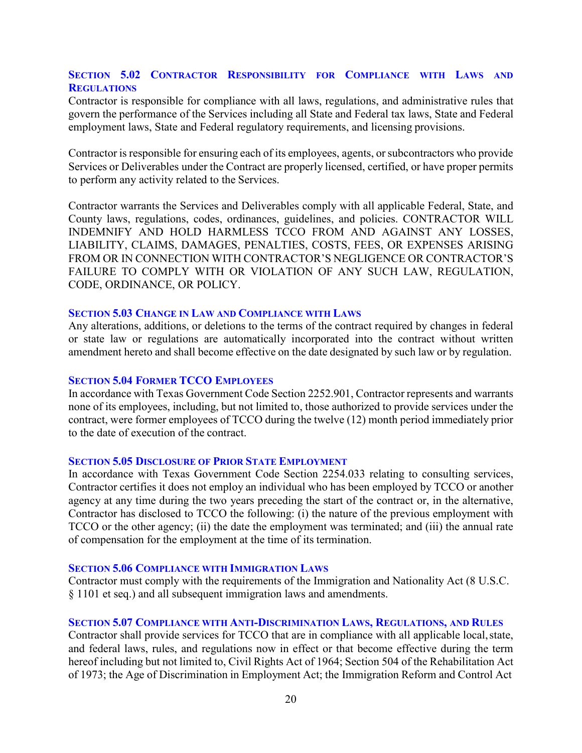# <span id="page-19-0"></span>**SECTION 5.02 CONTRACTOR RESPONSIBILITY FOR COMPLIANCE WITH LAWS AND REGULATIONS**

Contractor is responsible for compliance with all laws, regulations, and administrative rules that govern the performance of the Services including all State and Federal tax laws, State and Federal employment laws, State and Federal regulatory requirements, and licensing provisions.

Contractor is responsible for ensuring each of its employees, agents, or subcontractors who provide Services or Deliverables under the Contract are properly licensed, certified, or have proper permits to perform any activity related to the Services.

Contractor warrants the Services and Deliverables comply with all applicable Federal, State, and County laws, regulations, codes, ordinances, guidelines, and policies. CONTRACTOR WILL INDEMNIFY AND HOLD HARMLESS TCCO FROM AND AGAINST ANY LOSSES, LIABILITY, CLAIMS, DAMAGES, PENALTIES, COSTS, FEES, OR EXPENSES ARISING FROM OR IN CONNECTION WITH CONTRACTOR'S NEGLIGENCE OR CONTRACTOR'S FAILURE TO COMPLY WITH OR VIOLATION OF ANY SUCH LAW, REGULATION, CODE, ORDINANCE, OR POLICY.

#### <span id="page-19-1"></span>**SECTION 5.03 CHANGE IN LAW AND COMPLIANCE WITH LAWS**

Any alterations, additions, or deletions to the terms of the contract required by changes in federal or state law or regulations are automatically incorporated into the contract without written amendment hereto and shall become effective on the date designated by such law or by regulation.

#### <span id="page-19-2"></span>**SECTION 5.04 FORMER TCCO EMPLOYEES**

In accordance with Texas Government Code Section 2252.901, Contractor represents and warrants none of its employees, including, but not limited to, those authorized to provide services under the contract, were former employees of TCCO during the twelve (12) month period immediately prior to the date of execution of the contract.

#### <span id="page-19-3"></span>**SECTION 5.05 DISCLOSURE OF PRIOR STATE EMPLOYMENT**

In accordance with Texas Government Code Section 2254.033 relating to consulting services, Contractor certifies it does not employ an individual who has been employed by TCCO or another agency at any time during the two years preceding the start of the contract or, in the alternative, Contractor has disclosed to TCCO the following: (i) the nature of the previous employment with TCCO or the other agency; (ii) the date the employment was terminated; and (iii) the annual rate of compensation for the employment at the time of its termination.

#### <span id="page-19-4"></span>**SECTION 5.06 COMPLIANCE WITH IMMIGRATION LAWS**

Contractor must comply with the requirements of the Immigration and Nationality Act (8 U.S.C. § 1101 et seq.) and all subsequent immigration laws and amendments.

## <span id="page-19-5"></span>**SECTION 5.07 COMPLIANCE WITH ANTI-DISCRIMINATION LAWS, REGULATIONS, AND RULES**

Contractor shall provide services for TCCO that are in compliance with all applicable local, state, and federal laws, rules, and regulations now in effect or that become effective during the term hereof including but not limited to, Civil Rights Act of 1964; Section 504 of the Rehabilitation Act of 1973; the Age of Discrimination in Employment Act; the Immigration Reform and Control Act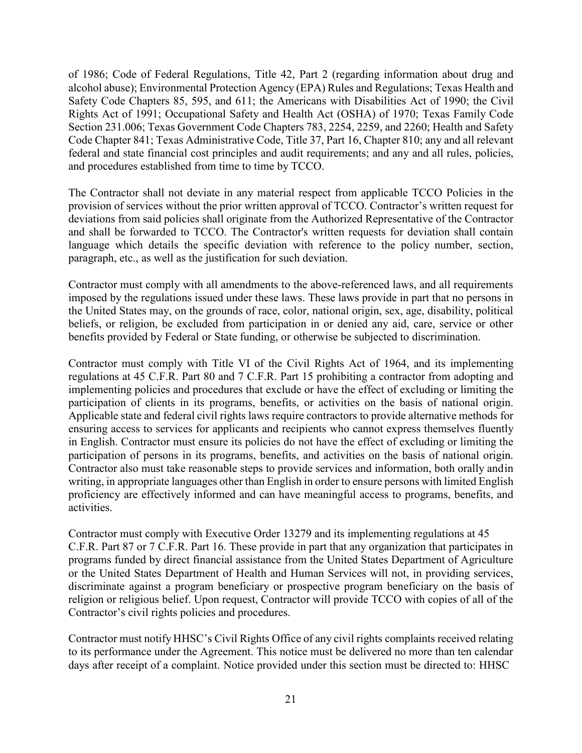of 1986; Code of Federal Regulations, Title 42, Part 2 (regarding information about drug and alcohol abuse); Environmental Protection Agency (EPA) Rules and Regulations; Texas Health and Safety Code Chapters 85, 595, and 611; the Americans with Disabilities Act of 1990; the Civil Rights Act of 1991; Occupational Safety and Health Act (OSHA) of 1970; Texas Family Code Section 231.006; Texas Government Code Chapters 783, 2254, 2259, and 2260; Health and Safety Code Chapter 841; Texas Administrative Code, Title 37, Part 16, Chapter 810; any and all relevant federal and state financial cost principles and audit requirements; and any and all rules, policies, and procedures established from time to time by TCCO.

The Contractor shall not deviate in any material respect from applicable TCCO Policies in the provision of services without the prior written approval of TCCO. Contractor's written request for deviations from said policies shall originate from the Authorized Representative of the Contractor and shall be forwarded to TCCO. The Contractor's written requests for deviation shall contain language which details the specific deviation with reference to the policy number, section, paragraph, etc., as well as the justification for such deviation.

Contractor must comply with all amendments to the above-referenced laws, and all requirements imposed by the regulations issued under these laws. These laws provide in part that no persons in the United States may, on the grounds of race, color, national origin, sex, age, disability, political beliefs, or religion, be excluded from participation in or denied any aid, care, service or other benefits provided by Federal or State funding, or otherwise be subjected to discrimination.

Contractor must comply with Title VI of the Civil Rights Act of 1964, and its implementing regulations at 45 C.F.R. Part 80 and 7 C.F.R. Part 15 prohibiting a contractor from adopting and implementing policies and procedures that exclude or have the effect of excluding or limiting the participation of clients in its programs, benefits, or activities on the basis of national origin. Applicable state and federal civil rights laws require contractors to provide alternative methods for ensuring access to services for applicants and recipients who cannot express themselves fluently in English. Contractor must ensure its policies do not have the effect of excluding or limiting the participation of persons in its programs, benefits, and activities on the basis of national origin. Contractor also must take reasonable steps to provide services and information, both orally andin writing, in appropriate languages other than English in order to ensure persons with limited English proficiency are effectively informed and can have meaningful access to programs, benefits, and activities.

Contractor must comply with Executive Order 13279 and its implementing regulations at 45 C.F.R. Part 87 or 7 C.F.R. Part 16. These provide in part that any organization that participates in programs funded by direct financial assistance from the United States Department of Agriculture or the United States Department of Health and Human Services will not, in providing services, discriminate against a program beneficiary or prospective program beneficiary on the basis of religion or religious belief. Upon request, Contractor will provide TCCO with copies of all of the Contractor's civil rights policies and procedures.

Contractor must notify HHSC's Civil Rights Office of any civil rights complaints received relating to its performance under the Agreement. This notice must be delivered no more than ten calendar days after receipt of a complaint. Notice provided under this section must be directed to: HHSC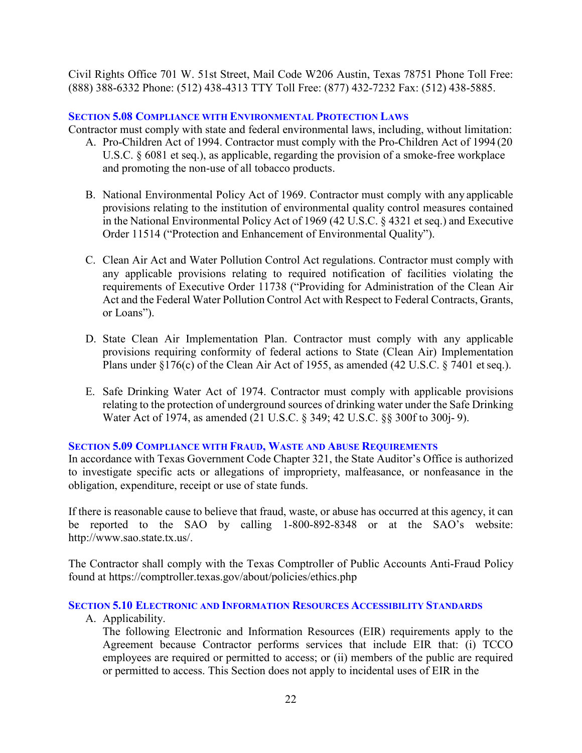Civil Rights Office 701 W. 51st Street, Mail Code W206 Austin, Texas 78751 Phone Toll Free: (888) 388-6332 Phone: (512) 438-4313 TTY Toll Free: (877) 432-7232 Fax: (512) 438-5885.

#### <span id="page-21-0"></span>**SECTION 5.08 COMPLIANCE WITH ENVIRONMENTAL PROTECTION LAWS**

Contractor must comply with state and federal environmental laws, including, without limitation:

- A. Pro-Children Act of 1994. Contractor must comply with the Pro-Children Act of 1994 (20 U.S.C. § 6081 et seq.), as applicable, regarding the provision of a smoke-free workplace and promoting the non-use of all tobacco products.
- B. National Environmental Policy Act of 1969. Contractor must comply with any applicable provisions relating to the institution of environmental quality control measures contained in the National Environmental Policy Act of 1969 (42 U.S.C. § 4321 et seq.) and Executive Order 11514 ("Protection and Enhancement of Environmental Quality").
- C. Clean Air Act and Water Pollution Control Act regulations. Contractor must comply with any applicable provisions relating to required notification of facilities violating the requirements of Executive Order 11738 ("Providing for Administration of the Clean Air Act and the Federal Water Pollution Control Act with Respect to Federal Contracts, Grants, or Loans").
- D. State Clean Air Implementation Plan. Contractor must comply with any applicable provisions requiring conformity of federal actions to State (Clean Air) Implementation Plans under  $\S176(c)$  of the Clean Air Act of 1955, as amended (42 U.S.C.  $\S7401$  et seq.).
- E. Safe Drinking Water Act of 1974. Contractor must comply with applicable provisions relating to the protection of underground sources of drinking water under the Safe Drinking Water Act of 1974, as amended (21 U.S.C. § 349; 42 U.S.C. §§ 300f to 300j- 9).

#### <span id="page-21-1"></span>**SECTION 5.09 COMPLIANCE WITH FRAUD, WASTE AND ABUSE REQUIREMENTS**

In accordance with Texas Government Code Chapter 321, the State Auditor's Office is authorized to investigate specific acts or allegations of impropriety, malfeasance, or nonfeasance in the obligation, expenditure, receipt or use of state funds.

If there is reasonable cause to believe that fraud, waste, or abuse has occurred at this agency, it can be reported to the SAO by calling 1-800-892-8348 or at the SAO's website[:](http://www.sao.state.tx.us/) [http://www.sao.state.tx.us/.](http://www.sao.state.tx.us/)

The Contractor shall comply with the Texas Comptroller of Public Accounts Anti-Fraud Policy found at https://comptroller.texas.gov/about/policies/ethics.php

<span id="page-21-2"></span>**SECTION 5.10 ELECTRONIC AND INFORMATION RESOURCES ACCESSIBILITY STANDARDS**

A. Applicability.

The following Electronic and Information Resources (EIR) requirements apply to the Agreement because Contractor performs services that include EIR that: (i) TCCO employees are required or permitted to access; or (ii) members of the public are required or permitted to access. This Section does not apply to incidental uses of EIR in the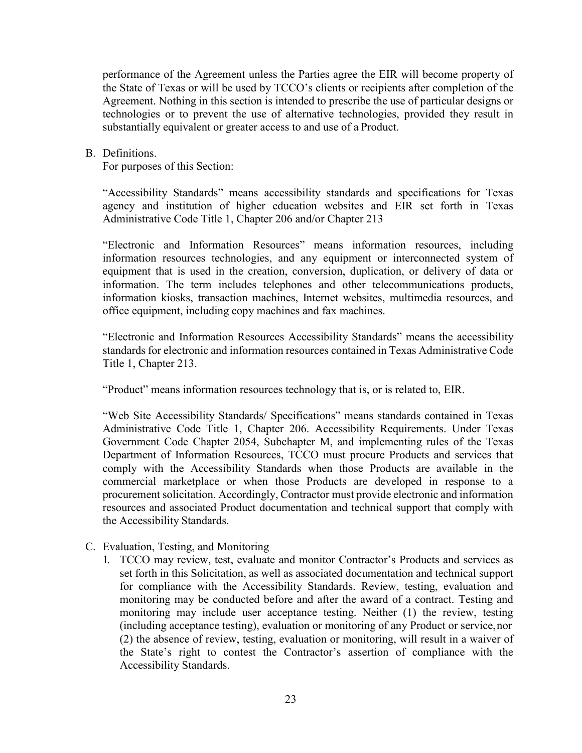performance of the Agreement unless the Parties agree the EIR will become property of the State of Texas or will be used by TCCO's clients or recipients after completion of the Agreement. Nothing in this section is intended to prescribe the use of particular designs or technologies or to prevent the use of alternative technologies, provided they result in substantially equivalent or greater access to and use of a Product.

## B. Definitions.

For purposes of this Section:

"Accessibility Standards" means accessibility standards and specifications for Texas agency and institution of higher education websites and EIR set forth in Texas Administrative Code Title 1, Chapter 206 and/or Chapter 213

"Electronic and Information Resources" means information resources, including information resources technologies, and any equipment or interconnected system of equipment that is used in the creation, conversion, duplication, or delivery of data or information. The term includes telephones and other telecommunications products, information kiosks, transaction machines, Internet websites, multimedia resources, and office equipment, including copy machines and fax machines.

"Electronic and Information Resources Accessibility Standards" means the accessibility standards for electronic and information resources contained in Texas Administrative Code Title 1, Chapter 213.

"Product" means information resources technology that is, or is related to, EIR.

"Web Site Accessibility Standards/ Specifications" means standards contained in Texas Administrative Code Title 1, Chapter 206. Accessibility Requirements. Under Texas Government Code Chapter 2054, Subchapter M, and implementing rules of the Texas Department of Information Resources, TCCO must procure Products and services that comply with the Accessibility Standards when those Products are available in the commercial marketplace or when those Products are developed in response to a procurement solicitation. Accordingly, Contractor must provide electronic and information resources and associated Product documentation and technical support that comply with the Accessibility Standards.

# C. Evaluation, Testing, and Monitoring

1. TCCO may review, test, evaluate and monitor Contractor's Products and services as set forth in this Solicitation, as well as associated documentation and technical support for compliance with the Accessibility Standards. Review, testing, evaluation and monitoring may be conducted before and after the award of a contract. Testing and monitoring may include user acceptance testing. Neither (1) the review, testing (including acceptance testing), evaluation or monitoring of any Product or service,nor (2) the absence of review, testing, evaluation or monitoring, will result in a waiver of the State's right to contest the Contractor's assertion of compliance with the Accessibility Standards.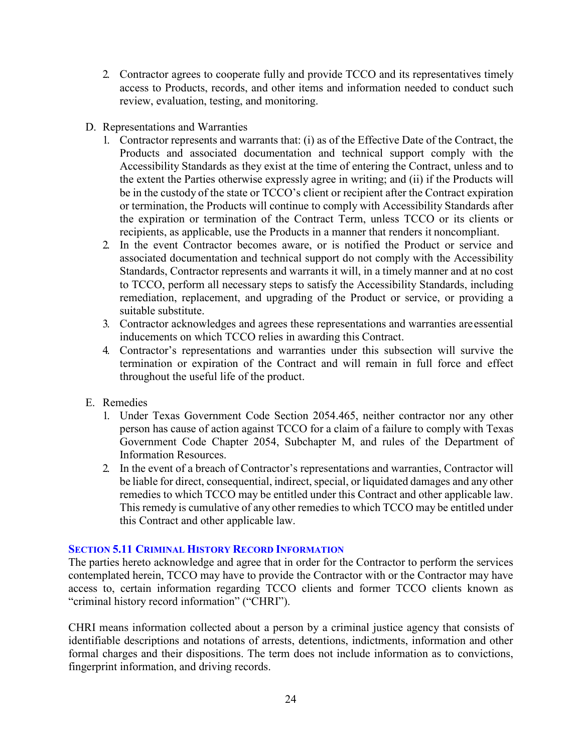- 2. Contractor agrees to cooperate fully and provide TCCO and its representatives timely access to Products, records, and other items and information needed to conduct such review, evaluation, testing, and monitoring.
- D. Representations and Warranties
	- 1. Contractor represents and warrants that: (i) as of the Effective Date of the Contract, the Products and associated documentation and technical support comply with the Accessibility Standards as they exist at the time of entering the Contract, unless and to the extent the Parties otherwise expressly agree in writing; and (ii) if the Products will be in the custody of the state or TCCO's client or recipient after the Contract expiration or termination, the Products will continue to comply with Accessibility Standards after the expiration or termination of the Contract Term, unless TCCO or its clients or recipients, as applicable, use the Products in a manner that renders it noncompliant.
	- 2. In the event Contractor becomes aware, or is notified the Product or service and associated documentation and technical support do not comply with the Accessibility Standards, Contractor represents and warrants it will, in a timely manner and at no cost to TCCO, perform all necessary steps to satisfy the Accessibility Standards, including remediation, replacement, and upgrading of the Product or service, or providing a suitable substitute.
	- 3. Contractor acknowledges and agrees these representations and warranties areessential inducements on which TCCO relies in awarding this Contract.
	- 4. Contractor's representations and warranties under this subsection will survive the termination or expiration of the Contract and will remain in full force and effect throughout the useful life of the product.
- E. Remedies
	- 1. Under Texas Government Code Section 2054.465, neither contractor nor any other person has cause of action against TCCO for a claim of a failure to comply with Texas Government Code Chapter 2054, Subchapter M, and rules of the Department of Information Resources.
	- 2. In the event of a breach of Contractor's representations and warranties, Contractor will be liable for direct, consequential, indirect, special, or liquidated damages and any other remedies to which TCCO may be entitled under this Contract and other applicable law. This remedy is cumulative of any other remedies to which TCCO may be entitled under this Contract and other applicable law.

## <span id="page-23-0"></span>**SECTION 5.11 CRIMINAL HISTORY RECORD INFORMATION**

The parties hereto acknowledge and agree that in order for the Contractor to perform the services contemplated herein, TCCO may have to provide the Contractor with or the Contractor may have access to, certain information regarding TCCO clients and former TCCO clients known as "criminal history record information" ("CHRI").

CHRI means information collected about a person by a criminal justice agency that consists of identifiable descriptions and notations of arrests, detentions, indictments, information and other formal charges and their dispositions. The term does not include information as to convictions, fingerprint information, and driving records.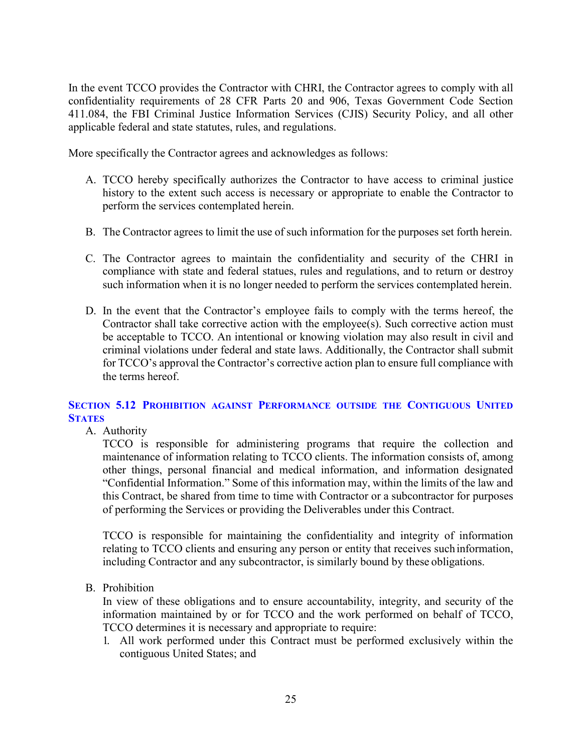In the event TCCO provides the Contractor with CHRI, the Contractor agrees to comply with all confidentiality requirements of 28 CFR Parts 20 and 906, Texas Government Code Section 411.084, the FBI Criminal Justice Information Services (CJIS) Security Policy, and all other applicable federal and state statutes, rules, and regulations.

More specifically the Contractor agrees and acknowledges as follows:

- A. TCCO hereby specifically authorizes the Contractor to have access to criminal justice history to the extent such access is necessary or appropriate to enable the Contractor to perform the services contemplated herein.
- B. The Contractor agrees to limit the use of such information for the purposes set forth herein.
- C. The Contractor agrees to maintain the confidentiality and security of the CHRI in compliance with state and federal statues, rules and regulations, and to return or destroy such information when it is no longer needed to perform the services contemplated herein.
- D. In the event that the Contractor's employee fails to comply with the terms hereof, the Contractor shall take corrective action with the employee(s). Such corrective action must be acceptable to TCCO. An intentional or knowing violation may also result in civil and criminal violations under federal and state laws. Additionally, the Contractor shall submit for TCCO's approval the Contractor's corrective action plan to ensure full compliance with the terms hereof.

# <span id="page-24-0"></span>**SECTION 5.12 PROHIBITION AGAINST PERFORMANCE OUTSIDE THE CONTIGUOUS UNITED STATES**

A. Authority

TCCO is responsible for administering programs that require the collection and maintenance of information relating to TCCO clients. The information consists of, among other things, personal financial and medical information, and information designated "Confidential Information." Some of this information may, within the limits of the law and this Contract, be shared from time to time with Contractor or a subcontractor for purposes of performing the Services or providing the Deliverables under this Contract.

TCCO is responsible for maintaining the confidentiality and integrity of information relating to TCCO clients and ensuring any person or entity that receives suchinformation, including Contractor and any subcontractor, is similarly bound by these obligations.

B. Prohibition

In view of these obligations and to ensure accountability, integrity, and security of the information maintained by or for TCCO and the work performed on behalf of TCCO, TCCO determines it is necessary and appropriate to require:

1. All work performed under this Contract must be performed exclusively within the contiguous United States; and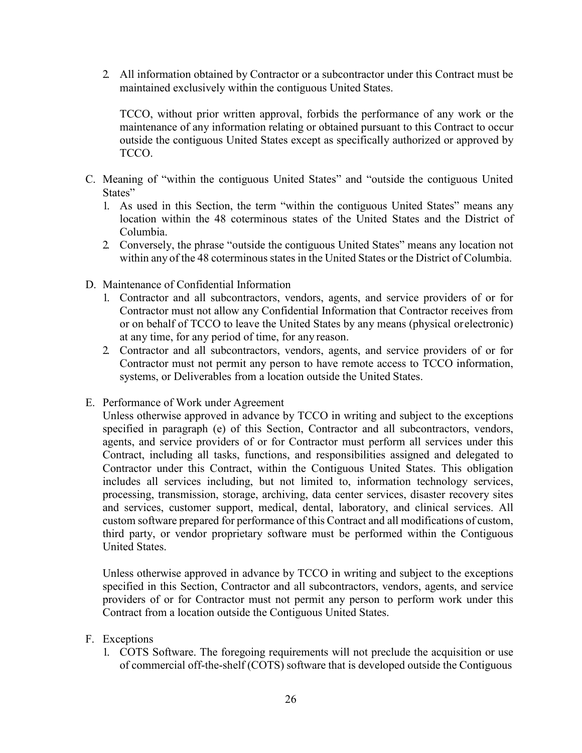2. All information obtained by Contractor or a subcontractor under this Contract must be maintained exclusively within the contiguous United States.

TCCO, without prior written approval, forbids the performance of any work or the maintenance of any information relating or obtained pursuant to this Contract to occur outside the contiguous United States except as specifically authorized or approved by TCCO.

- C. Meaning of "within the contiguous United States" and "outside the contiguous United States"
	- 1. As used in this Section, the term "within the contiguous United States" means any location within the 48 coterminous states of the United States and the District of Columbia.
	- 2. Conversely, the phrase "outside the contiguous United States" means any location not within any of the 48 coterminous states in the United States or the District of Columbia.
- D. Maintenance of Confidential Information
	- 1. Contractor and all subcontractors, vendors, agents, and service providers of or for Contractor must not allow any Confidential Information that Contractor receives from or on behalf of TCCO to leave the United States by any means (physical orelectronic) at any time, for any period of time, for any reason.
	- 2. Contractor and all subcontractors, vendors, agents, and service providers of or for Contractor must not permit any person to have remote access to TCCO information, systems, or Deliverables from a location outside the United States.
- E. Performance of Work under Agreement

Unless otherwise approved in advance by TCCO in writing and subject to the exceptions specified in paragraph (e) of this Section, Contractor and all subcontractors, vendors, agents, and service providers of or for Contractor must perform all services under this Contract, including all tasks, functions, and responsibilities assigned and delegated to Contractor under this Contract, within the Contiguous United States. This obligation includes all services including, but not limited to, information technology services, processing, transmission, storage, archiving, data center services, disaster recovery sites and services, customer support, medical, dental, laboratory, and clinical services. All custom software prepared for performance of this Contract and all modifications of custom, third party, or vendor proprietary software must be performed within the Contiguous United States.

Unless otherwise approved in advance by TCCO in writing and subject to the exceptions specified in this Section, Contractor and all subcontractors, vendors, agents, and service providers of or for Contractor must not permit any person to perform work under this Contract from a location outside the Contiguous United States.

- F. Exceptions
	- 1. COTS Software. The foregoing requirements will not preclude the acquisition or use of commercial off-the-shelf (COTS) software that is developed outside the Contiguous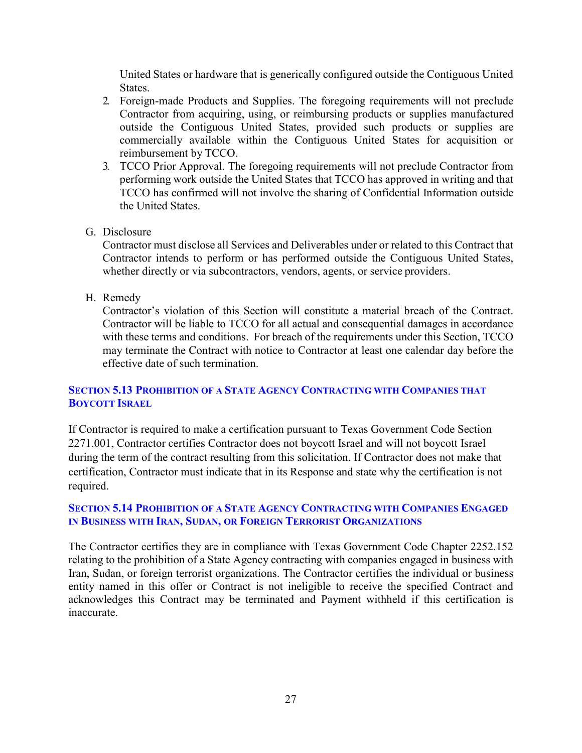United States or hardware that is generically configured outside the Contiguous United States.

- 2. Foreign-made Products and Supplies. The foregoing requirements will not preclude Contractor from acquiring, using, or reimbursing products or supplies manufactured outside the Contiguous United States, provided such products or supplies are commercially available within the Contiguous United States for acquisition or reimbursement by TCCO.
- 3. TCCO Prior Approval. The foregoing requirements will not preclude Contractor from performing work outside the United States that TCCO has approved in writing and that TCCO has confirmed will not involve the sharing of Confidential Information outside the United States.
- G. Disclosure

Contractor must disclose all Services and Deliverables under or related to this Contract that Contractor intends to perform or has performed outside the Contiguous United States, whether directly or via subcontractors, vendors, agents, or service providers.

H. Remedy

Contractor's violation of this Section will constitute a material breach of the Contract. Contractor will be liable to TCCO for all actual and consequential damages in accordance with these terms and conditions. For breach of the requirements under this Section, TCCO may terminate the Contract with notice to Contractor at least one calendar day before the effective date of such termination.

# <span id="page-26-0"></span>**SECTION 5.13 PROHIBITION OF A STATE AGENCY CONTRACTING WITH COMPANIES THAT BOYCOTT ISRAEL**

If Contractor is required to make a certification pursuant to Texas Government Code Section 2271.001, Contractor certifies Contractor does not boycott Israel and will not boycott Israel during the term of the contract resulting from this solicitation. If Contractor does not make that certification, Contractor must indicate that in its Response and state why the certification is not required.

# <span id="page-26-1"></span>**SECTION 5.14 PROHIBITION OF A STATE AGENCY CONTRACTING WITH COMPANIES ENGAGED IN BUSINESS WITH IRAN, SUDAN, OR FOREIGN TERRORIST ORGANIZATIONS**

The Contractor certifies they are in compliance with Texas Government Code Chapter 2252.152 relating to the prohibition of a State Agency contracting with companies engaged in business with Iran, Sudan, or foreign terrorist organizations. The Contractor certifies the individual or business entity named in this offer or Contract is not ineligible to receive the specified Contract and acknowledges this Contract may be terminated and Payment withheld if this certification is inaccurate.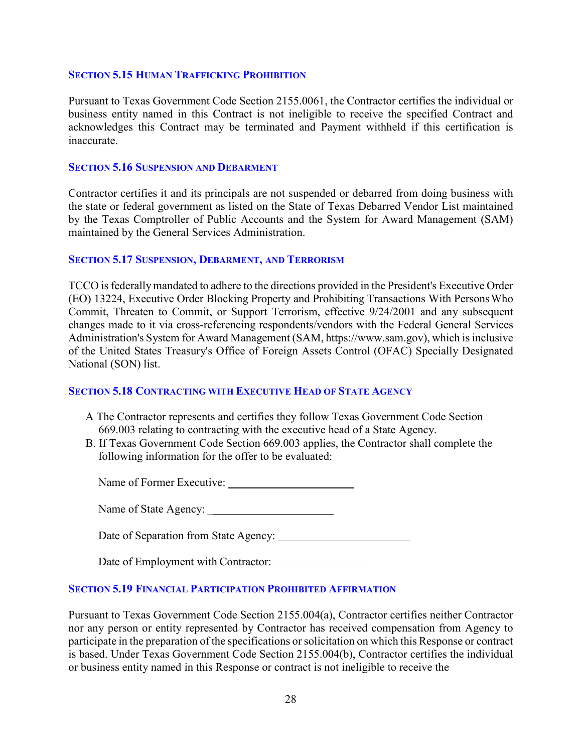#### <span id="page-27-0"></span>**SECTION 5.15 HUMAN TRAFFICKING PROHIBITION**

Pursuant to Texas Government Code Section 2155.0061, the Contractor certifies the individual or business entity named in this Contract is not ineligible to receive the specified Contract and acknowledges this Contract may be terminated and Payment withheld if this certification is inaccurate.

#### <span id="page-27-1"></span>**SECTION 5.16 SUSPENSION AND DEBARMENT**

Contractor certifies it and its principals are not suspended or debarred from doing business with the state or federal government as listed on the State of Texas Debarred Vendor List maintained by the Texas Comptroller of Public Accounts and the System for Award Management (SAM) maintained by the General Services Administration.

#### <span id="page-27-2"></span>**SECTION 5.17 SUSPENSION, DEBARMENT, AND TERRORISM**

TCCO is federally mandated to adhere to the directions provided in the President's Executive Order (EO) 13224, Executive Order Blocking Property and Prohibiting Transactions With PersonsWho Commit, Threaten to Commit, or Support Terrorism, effective 9/24/2001 and any subsequent changes made to it via cross-referencing respondents/vendors with the Federal General Services Administration's System for Award Management (SAM, https://www.sam.gov), which is inclusive of the United States Treasury's Office of Foreign Assets Control (OFAC) Specially Designated National (SON) list.

## <span id="page-27-3"></span>**SECTION 5.18 CONTRACTING WITH EXECUTIVE HEAD OF STATE AGENCY**

- A The Contractor represents and certifies they follow Texas Government Code Section 669.003 relating to contracting with the executive head of a State Agency.
- B. If Texas Government Code Section 669.003 applies, the Contractor shall complete the following information for the offer to be evaluated:

Name of Former Executive:

Name of State Agency: \_

Date of Separation from State Agency:

| Date of Employment with Contractor: |  |
|-------------------------------------|--|
|-------------------------------------|--|

## <span id="page-27-4"></span>**SECTION 5.19 FINANCIAL PARTICIPATION PROHIBITED AFFIRMATION**

Pursuant to Texas Government Code Section 2155.004(a), Contractor certifies neither Contractor nor any person or entity represented by Contractor has received compensation from Agency to participate in the preparation of the specifications or solicitation on which this Response or contract is based. Under Texas Government Code Section 2155.004(b), Contractor certifies the individual or business entity named in this Response or contract is not ineligible to receive the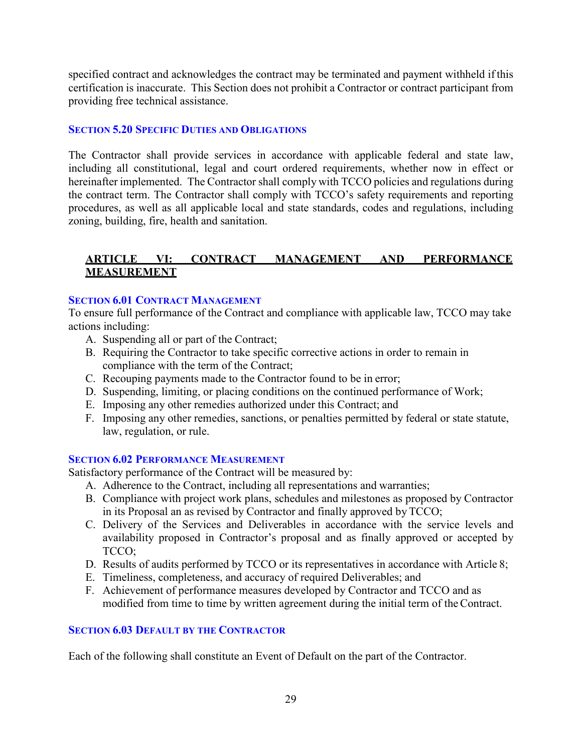specified contract and acknowledges the contract may be terminated and payment withheld if this certification is inaccurate. This Section does not prohibit a Contractor or contract participant from providing free technical assistance.

# <span id="page-28-0"></span>**SECTION 5.20 SPECIFIC DUTIES AND OBLIGATIONS**

The Contractor shall provide services in accordance with applicable federal and state law, including all constitutional, legal and court ordered requirements, whether now in effect or hereinafter implemented. The Contractor shall comply with TCCO policies and regulations during the contract term. The Contractor shall comply with TCCO's safety requirements and reporting procedures, as well as all applicable local and state standards, codes and regulations, including zoning, building, fire, health and sanitation.

# <span id="page-28-1"></span>**ARTICLE VI: CONTRACT MANAGEMENT AND PERFORMANCE MEASUREMENT**

## <span id="page-28-2"></span>**SECTION 6.01 CONTRACT MANAGEMENT**

To ensure full performance of the Contract and compliance with applicable law, TCCO may take actions including:

- A. Suspending all or part of the Contract;
- B. Requiring the Contractor to take specific corrective actions in order to remain in compliance with the term of the Contract;
- C. Recouping payments made to the Contractor found to be in error;
- D. Suspending, limiting, or placing conditions on the continued performance of Work;
- E. Imposing any other remedies authorized under this Contract; and
- F. Imposing any other remedies, sanctions, or penalties permitted by federal or state statute, law, regulation, or rule.

## <span id="page-28-3"></span>**SECTION 6.02 PERFORMANCE MEASUREMENT**

Satisfactory performance of the Contract will be measured by:

- A. Adherence to the Contract, including all representations and warranties;
- B. Compliance with project work plans, schedules and milestones as proposed by Contractor in its Proposal an as revised by Contractor and finally approved by TCCO;
- C. Delivery of the Services and Deliverables in accordance with the service levels and availability proposed in Contractor's proposal and as finally approved or accepted by TCCO;
- D. Results of audits performed by TCCO or its representatives in accordance with Article 8;
- E. Timeliness, completeness, and accuracy of required Deliverables; and
- F. Achievement of performance measures developed by Contractor and TCCO and as modified from time to time by written agreement during the initial term of theContract.

## <span id="page-28-4"></span>**SECTION 6.03 DEFAULT BY THE CONTRACTOR**

Each of the following shall constitute an Event of Default on the part of the Contractor.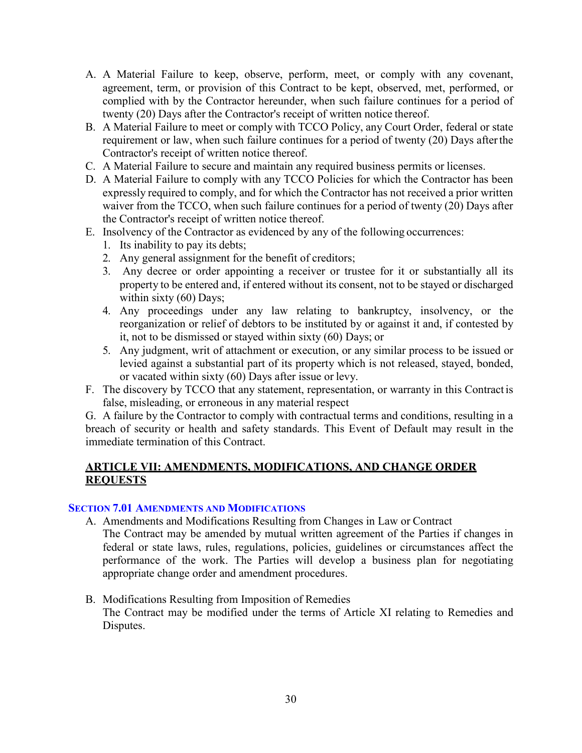- A. A Material Failure to keep, observe, perform, meet, or comply with any covenant, agreement, term, or provision of this Contract to be kept, observed, met, performed, or complied with by the Contractor hereunder, when such failure continues for a period of twenty (20) Days after the Contractor's receipt of written notice thereof.
- B. A Material Failure to meet or comply with TCCO Policy, any Court Order, federal or state requirement or law, when such failure continues for a period of twenty (20) Days afterthe Contractor's receipt of written notice thereof.
- C. A Material Failure to secure and maintain any required business permits or licenses.
- D. A Material Failure to comply with any TCCO Policies for which the Contractor has been expressly required to comply, and for which the Contractor has not received a prior written waiver from the TCCO, when such failure continues for a period of twenty (20) Days after the Contractor's receipt of written notice thereof.
- E. Insolvency of the Contractor as evidenced by any of the following occurrences:
	- 1. Its inability to pay its debts;
	- 2. Any general assignment for the benefit of creditors;
	- 3. Any decree or order appointing a receiver or trustee for it or substantially all its property to be entered and, if entered without its consent, not to be stayed or discharged within sixty (60) Days;
	- 4. Any proceedings under any law relating to bankruptcy, insolvency, or the reorganization or relief of debtors to be instituted by or against it and, if contested by it, not to be dismissed or stayed within sixty (60) Days; or
	- 5. Any judgment, writ of attachment or execution, or any similar process to be issued or levied against a substantial part of its property which is not released, stayed, bonded, or vacated within sixty (60) Days after issue or levy.
- F. The discovery by TCCO that any statement, representation, or warranty in this Contract is false, misleading, or erroneous in any material respect

G. A failure by the Contractor to comply with contractual terms and conditions, resulting in a breach of security or health and safety standards. This Event of Default may result in the immediate termination of this Contract.

# <span id="page-29-0"></span>**ARTICLE VII: AMENDMENTS, MODIFICATIONS, AND CHANGE ORDER REQUESTS**

## <span id="page-29-1"></span>**SECTION 7.01 AMENDMENTS AND MODIFICATIONS**

- A. Amendments and Modifications Resulting from Changes in Law or Contract
	- The Contract may be amended by mutual written agreement of the Parties if changes in federal or state laws, rules, regulations, policies, guidelines or circumstances affect the performance of the work. The Parties will develop a business plan for negotiating appropriate change order and amendment procedures.
- B. Modifications Resulting from Imposition of Remedies The Contract may be modified under the terms of Article XI relating to Remedies and Disputes.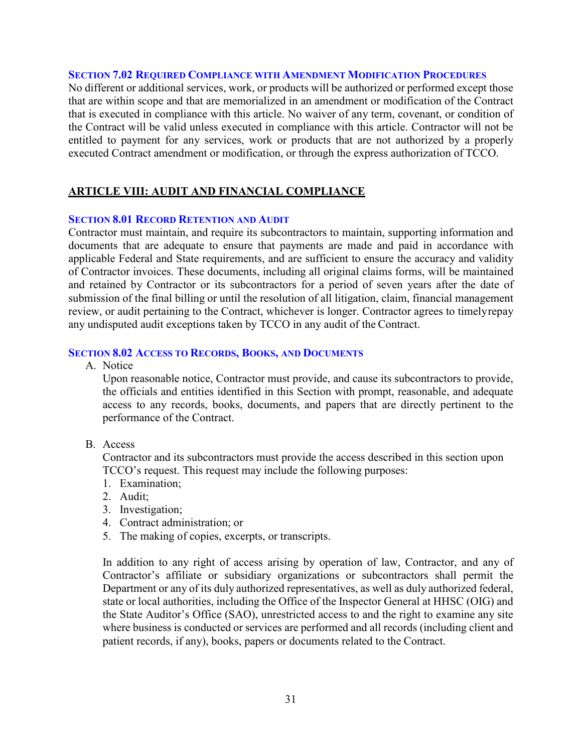#### <span id="page-30-0"></span>**SECTION 7.02 REQUIRED COMPLIANCE WITH AMENDMENT MODIFICATION PROCEDURES**

No different or additional services, work, or products will be authorized or performed except those that are within scope and that are memorialized in an amendment or modification of the Contract that is executed in compliance with this article. No waiver of any term, covenant, or condition of the Contract will be valid unless executed in compliance with this article. Contractor will not be entitled to payment for any services, work or products that are not authorized by a properly executed Contract amendment or modification, or through the express authorization of TCCO.

# <span id="page-30-1"></span>**ARTICLE VIII: AUDIT AND FINANCIAL COMPLIANCE**

#### <span id="page-30-2"></span>**SECTION 8.01 RECORD RETENTION AND AUDIT**

Contractor must maintain, and require its subcontractors to maintain, supporting information and documents that are adequate to ensure that payments are made and paid in accordance with applicable Federal and State requirements, and are sufficient to ensure the accuracy and validity of Contractor invoices. These documents, including all original claims forms, will be maintained and retained by Contractor or its subcontractors for a period of seven years after the date of submission of the final billing or until the resolution of all litigation, claim, financial management review, or audit pertaining to the Contract, whichever is longer. Contractor agrees to timelyrepay any undisputed audit exceptions taken by TCCO in any audit of the Contract.

#### <span id="page-30-3"></span>**SECTION 8.02 ACCESS TO RECORDS, BOOKS, AND DOCUMENTS**

A. Notice

Upon reasonable notice, Contractor must provide, and cause its subcontractors to provide, the officials and entities identified in this Section with prompt, reasonable, and adequate access to any records, books, documents, and papers that are directly pertinent to the performance of the Contract.

B. Access

Contractor and its subcontractors must provide the access described in this section upon TCCO's request. This request may include the following purposes:

- 1. Examination;
- 2. Audit;
- 3. Investigation;
- 4. Contract administration; or
- 5. The making of copies, excerpts, or transcripts.

In addition to any right of access arising by operation of law, Contractor, and any of Contractor's affiliate or subsidiary organizations or subcontractors shall permit the Department or any of its duly authorized representatives, as well as duly authorized federal, state or local authorities, including the Office of the Inspector General at HHSC (OIG) and the State Auditor's Office (SAO), unrestricted access to and the right to examine any site where business is conducted or services are performed and all records (including client and patient records, if any), books, papers or documents related to the Contract.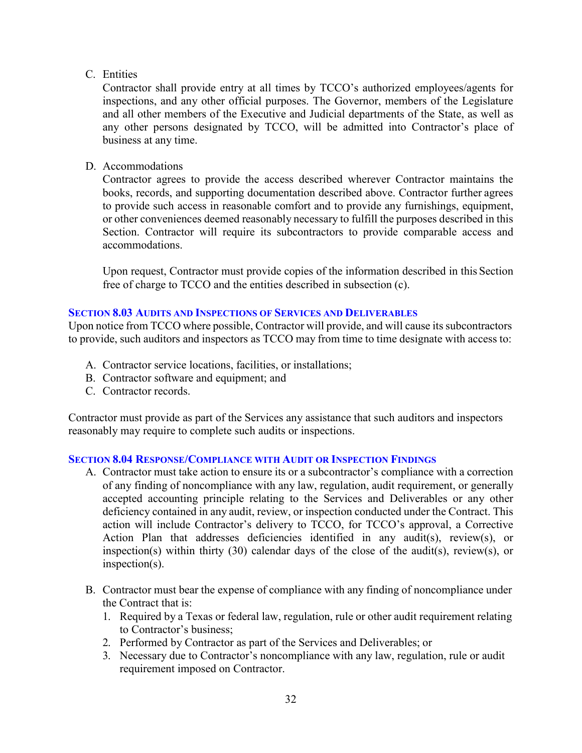# C. Entities

Contractor shall provide entry at all times by TCCO's authorized employees/agents for inspections, and any other official purposes. The Governor, members of the Legislature and all other members of the Executive and Judicial departments of the State, as well as any other persons designated by TCCO, will be admitted into Contractor's place of business at any time.

# D. Accommodations

Contractor agrees to provide the access described wherever Contractor maintains the books, records, and supporting documentation described above. Contractor further agrees to provide such access in reasonable comfort and to provide any furnishings, equipment, or other conveniences deemed reasonably necessary to fulfill the purposes described in this Section. Contractor will require its subcontractors to provide comparable access and accommodations.

Upon request, Contractor must provide copies of the information described in this Section free of charge to TCCO and the entities described in subsection (c).

# <span id="page-31-0"></span>**SECTION 8.03 AUDITS AND INSPECTIONS OF SERVICES AND DELIVERABLES**

Upon notice from TCCO where possible, Contractor will provide, and will cause its subcontractors to provide, such auditors and inspectors as TCCO may from time to time designate with access to:

- A. Contractor service locations, facilities, or installations;
- B. Contractor software and equipment; and
- C. Contractor records.

Contractor must provide as part of the Services any assistance that such auditors and inspectors reasonably may require to complete such audits or inspections.

## <span id="page-31-1"></span>**SECTION 8.04 RESPONSE/COMPLIANCE WITH AUDIT OR INSPECTION FINDINGS**

- A. Contractor must take action to ensure its or a subcontractor's compliance with a correction of any finding of noncompliance with any law, regulation, audit requirement, or generally accepted accounting principle relating to the Services and Deliverables or any other deficiency contained in any audit, review, or inspection conducted under the Contract. This action will include Contractor's delivery to TCCO, for TCCO's approval, a Corrective Action Plan that addresses deficiencies identified in any audit(s), review(s), or inspection(s) within thirty (30) calendar days of the close of the audit(s), review(s), or inspection(s).
- B. Contractor must bear the expense of compliance with any finding of noncompliance under the Contract that is:
	- 1. Required by a Texas or federal law, regulation, rule or other audit requirement relating to Contractor's business;
	- 2. Performed by Contractor as part of the Services and Deliverables; or
	- 3. Necessary due to Contractor's noncompliance with any law, regulation, rule or audit requirement imposed on Contractor.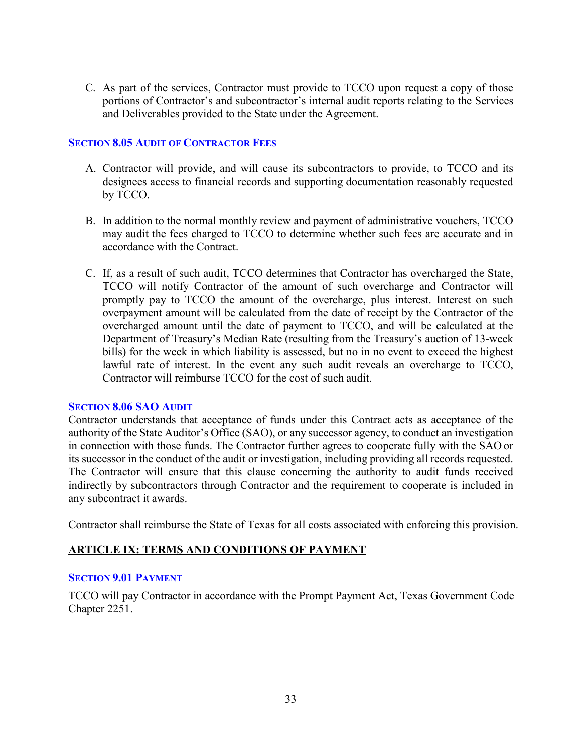C. As part of the services, Contractor must provide to TCCO upon request a copy of those portions of Contractor's and subcontractor's internal audit reports relating to the Services and Deliverables provided to the State under the Agreement.

## <span id="page-32-0"></span>**SECTION 8.05 AUDIT OF CONTRACTOR FEES**

- A. Contractor will provide, and will cause its subcontractors to provide, to TCCO and its designees access to financial records and supporting documentation reasonably requested by TCCO.
- B. In addition to the normal monthly review and payment of administrative vouchers, TCCO may audit the fees charged to TCCO to determine whether such fees are accurate and in accordance with the Contract.
- C. If, as a result of such audit, TCCO determines that Contractor has overcharged the State, TCCO will notify Contractor of the amount of such overcharge and Contractor will promptly pay to TCCO the amount of the overcharge, plus interest. Interest on such overpayment amount will be calculated from the date of receipt by the Contractor of the overcharged amount until the date of payment to TCCO, and will be calculated at the Department of Treasury's Median Rate (resulting from the Treasury's auction of 13-week bills) for the week in which liability is assessed, but no in no event to exceed the highest lawful rate of interest. In the event any such audit reveals an overcharge to TCCO, Contractor will reimburse TCCO for the cost of such audit.

## <span id="page-32-1"></span>**SECTION 8.06 SAO AUDIT**

Contractor understands that acceptance of funds under this Contract acts as acceptance of the authority of the State Auditor's Office (SAO), or any successor agency, to conduct an investigation in connection with those funds. The Contractor further agrees to cooperate fully with the SAO or its successor in the conduct of the audit or investigation, including providing all records requested. The Contractor will ensure that this clause concerning the authority to audit funds received indirectly by subcontractors through Contractor and the requirement to cooperate is included in any subcontract it awards.

Contractor shall reimburse the State of Texas for all costs associated with enforcing this provision.

# <span id="page-32-2"></span>**ARTICLE IX: TERMS AND CONDITIONS OF PAYMENT**

## <span id="page-32-3"></span>**SECTION 9.01 PAYMENT**

TCCO will pay Contractor in accordance with the Prompt Payment Act, Texas Government Code Chapter 2251.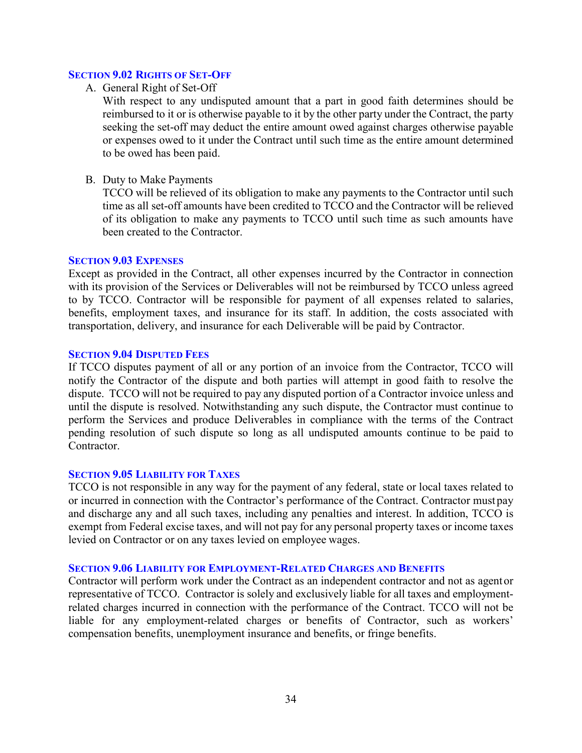#### <span id="page-33-0"></span>**SECTION 9.02 RIGHTS OF SET-OFF**

A. General Right of Set-Off

With respect to any undisputed amount that a part in good faith determines should be reimbursed to it or is otherwise payable to it by the other party under the Contract, the party seeking the set-off may deduct the entire amount owed against charges otherwise payable or expenses owed to it under the Contract until such time as the entire amount determined to be owed has been paid.

B. Duty to Make Payments

TCCO will be relieved of its obligation to make any payments to the Contractor until such time as all set-off amounts have been credited to TCCO and the Contractor will be relieved of its obligation to make any payments to TCCO until such time as such amounts have been created to the Contractor.

#### <span id="page-33-1"></span>**SECTION 9.03 EXPENSES**

Except as provided in the Contract, all other expenses incurred by the Contractor in connection with its provision of the Services or Deliverables will not be reimbursed by TCCO unless agreed to by TCCO. Contractor will be responsible for payment of all expenses related to salaries, benefits, employment taxes, and insurance for its staff. In addition, the costs associated with transportation, delivery, and insurance for each Deliverable will be paid by Contractor.

#### <span id="page-33-2"></span>**SECTION 9.04 DISPUTED FEES**

If TCCO disputes payment of all or any portion of an invoice from the Contractor, TCCO will notify the Contractor of the dispute and both parties will attempt in good faith to resolve the dispute. TCCO will not be required to pay any disputed portion of a Contractor invoice unless and until the dispute is resolved. Notwithstanding any such dispute, the Contractor must continue to perform the Services and produce Deliverables in compliance with the terms of the Contract pending resolution of such dispute so long as all undisputed amounts continue to be paid to Contractor.

#### <span id="page-33-3"></span>**SECTION 9.05 LIABILITY FOR TAXES**

TCCO is not responsible in any way for the payment of any federal, state or local taxes related to or incurred in connection with the Contractor's performance of the Contract. Contractor must pay and discharge any and all such taxes, including any penalties and interest. In addition, TCCO is exempt from Federal excise taxes, and will not pay for any personal property taxes or income taxes levied on Contractor or on any taxes levied on employee wages.

#### <span id="page-33-4"></span>**SECTION 9.06 LIABILITY FOR EMPLOYMENT-RELATED CHARGES AND BENEFITS**

Contractor will perform work under the Contract as an independent contractor and not as agentor representative of TCCO. Contractor is solely and exclusively liable for all taxes and employmentrelated charges incurred in connection with the performance of the Contract. TCCO will not be liable for any employment-related charges or benefits of Contractor, such as workers' compensation benefits, unemployment insurance and benefits, or fringe benefits.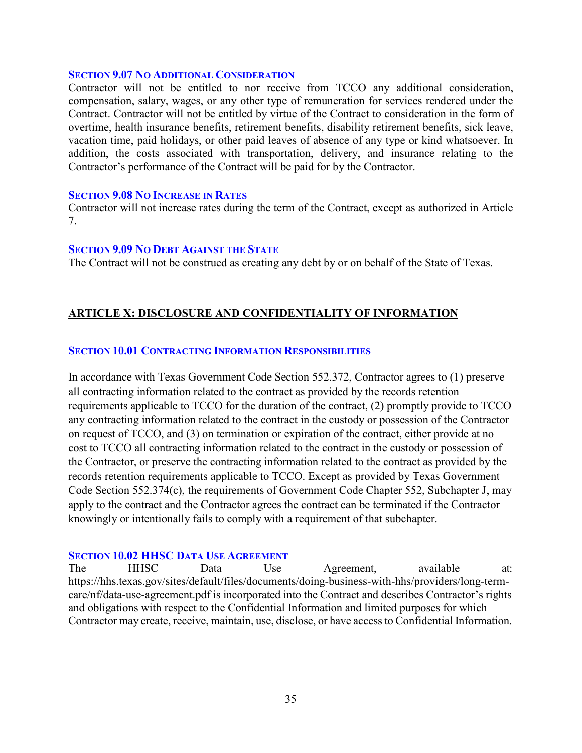#### <span id="page-34-0"></span>**SECTION 9.07 NO ADDITIONAL CONSIDERATION**

Contractor will not be entitled to nor receive from TCCO any additional consideration, compensation, salary, wages, or any other type of remuneration for services rendered under the Contract. Contractor will not be entitled by virtue of the Contract to consideration in the form of overtime, health insurance benefits, retirement benefits, disability retirement benefits, sick leave, vacation time, paid holidays, or other paid leaves of absence of any type or kind whatsoever. In addition, the costs associated with transportation, delivery, and insurance relating to the Contractor's performance of the Contract will be paid for by the Contractor.

#### <span id="page-34-1"></span>**SECTION 9.08 NO INCREASE IN RATES**

Contractor will not increase rates during the term of the Contract, except as authorized in Article 7.

#### <span id="page-34-2"></span>**SECTION 9.09 NO DEBT AGAINST THE STATE**

The Contract will not be construed as creating any debt by or on behalf of the State of Texas.

## <span id="page-34-3"></span>**ARTICLE X: DISCLOSURE AND CONFIDENTIALITY OF INFORMATION**

#### <span id="page-34-4"></span>**SECTION 10.01 CONTRACTING INFORMATION RESPONSIBILITIES**

In accordance with Texas Government Code Section 552.372, Contractor agrees to (1) preserve all contracting information related to the contract as provided by the records retention requirements applicable to TCCO for the duration of the contract, (2) promptly provide to TCCO any contracting information related to the contract in the custody or possession of the Contractor on request of TCCO, and (3) on termination or expiration of the contract, either provide at no cost to TCCO all contracting information related to the contract in the custody or possession of the Contractor, or preserve the contracting information related to the contract as provided by the records retention requirements applicable to TCCO. Except as provided by Texas Government Code Section 552.374(c), the requirements of Government Code Chapter 552, Subchapter J, may apply to the contract and the Contractor agrees the contract can be terminated if the Contractor knowingly or intentionally fails to comply with a requirement of that subchapter.

#### <span id="page-34-5"></span>**SECTION 10.02 HHSC DATA USE AGREEMENT**

The HHSC Data Use Agreement, available at: https://hhs.texas.gov/sites/default/files/documents/doing-business-with-hhs/providers/long-termcare/nf/data-use-agreement.pdf is incorporated into the Contract and describes Contractor's rights and obligations with respect to the Confidential Information and limited purposes for which Contractor may create, receive, maintain, use, disclose, or have accessto Confidential Information.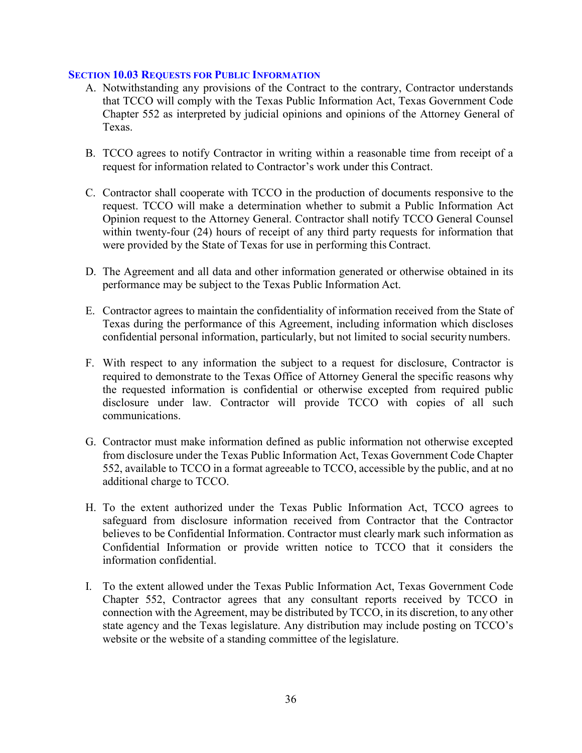#### <span id="page-35-0"></span>**SECTION 10.03 REQUESTS FOR PUBLIC INFORMATION**

- A. Notwithstanding any provisions of the Contract to the contrary, Contractor understands that TCCO will comply with the Texas Public Information Act, Texas Government Code Chapter 552 as interpreted by judicial opinions and opinions of the Attorney General of Texas.
- B. TCCO agrees to notify Contractor in writing within a reasonable time from receipt of a request for information related to Contractor's work under this Contract.
- C. Contractor shall cooperate with TCCO in the production of documents responsive to the request. TCCO will make a determination whether to submit a Public Information Act Opinion request to the Attorney General. Contractor shall notify TCCO General Counsel within twenty-four (24) hours of receipt of any third party requests for information that were provided by the State of Texas for use in performing this Contract.
- D. The Agreement and all data and other information generated or otherwise obtained in its performance may be subject to the Texas Public Information Act.
- E. Contractor agrees to maintain the confidentiality of information received from the State of Texas during the performance of this Agreement, including information which discloses confidential personal information, particularly, but not limited to social security numbers.
- F. With respect to any information the subject to a request for disclosure, Contractor is required to demonstrate to the Texas Office of Attorney General the specific reasons why the requested information is confidential or otherwise excepted from required public disclosure under law. Contractor will provide TCCO with copies of all such communications.
- G. Contractor must make information defined as public information not otherwise excepted from disclosure under the Texas Public Information Act, Texas Government Code Chapter 552, available to TCCO in a format agreeable to TCCO, accessible by the public, and at no additional charge to TCCO.
- H. To the extent authorized under the Texas Public Information Act, TCCO agrees to safeguard from disclosure information received from Contractor that the Contractor believes to be Confidential Information. Contractor must clearly mark such information as Confidential Information or provide written notice to TCCO that it considers the information confidential.
- I. To the extent allowed under the Texas Public Information Act, Texas Government Code Chapter 552, Contractor agrees that any consultant reports received by TCCO in connection with the Agreement, may be distributed by TCCO, in its discretion, to any other state agency and the Texas legislature. Any distribution may include posting on TCCO's website or the website of a standing committee of the legislature.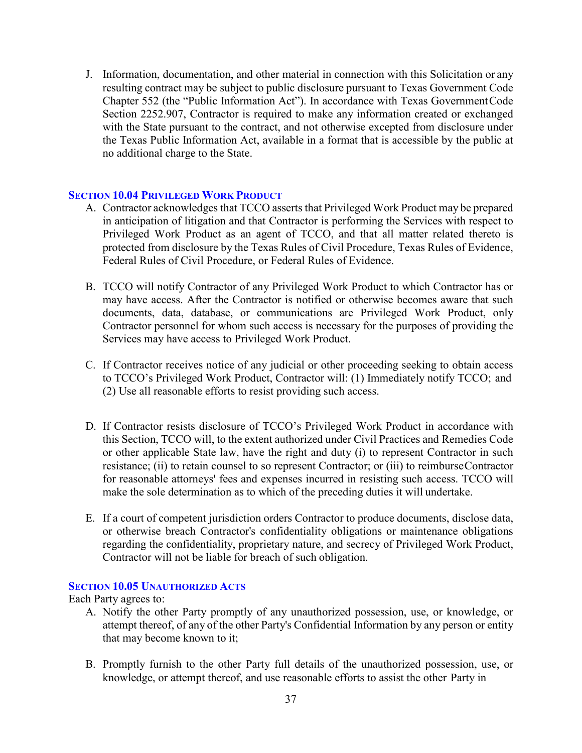J. Information, documentation, and other material in connection with this Solicitation or any resulting contract may be subject to public disclosure pursuant to Texas Government Code Chapter 552 (the "Public Information Act"). In accordance with Texas GovernmentCode Section 2252.907, Contractor is required to make any information created or exchanged with the State pursuant to the contract, and not otherwise excepted from disclosure under the Texas Public Information Act, available in a format that is accessible by the public at no additional charge to the State.

## <span id="page-36-0"></span>**SECTION 10.04 PRIVILEGED WORK PRODUCT**

- A. Contractor acknowledges that TCCO asserts that Privileged Work Product may be prepared in anticipation of litigation and that Contractor is performing the Services with respect to Privileged Work Product as an agent of TCCO, and that all matter related thereto is protected from disclosure by the Texas Rules of Civil Procedure, Texas Rules of Evidence, Federal Rules of Civil Procedure, or Federal Rules of Evidence.
- B. TCCO will notify Contractor of any Privileged Work Product to which Contractor has or may have access. After the Contractor is notified or otherwise becomes aware that such documents, data, database, or communications are Privileged Work Product, only Contractor personnel for whom such access is necessary for the purposes of providing the Services may have access to Privileged Work Product.
- C. If Contractor receives notice of any judicial or other proceeding seeking to obtain access to TCCO's Privileged Work Product, Contractor will: (1) Immediately notify TCCO; and (2) Use all reasonable efforts to resist providing such access.
- D. If Contractor resists disclosure of TCCO's Privileged Work Product in accordance with this Section, TCCO will, to the extent authorized under Civil Practices and Remedies Code or other applicable State law, have the right and duty (i) to represent Contractor in such resistance; (ii) to retain counsel to so represent Contractor; or (iii) to reimburseContractor for reasonable attorneys' fees and expenses incurred in resisting such access. TCCO will make the sole determination as to which of the preceding duties it will undertake.
- E. If a court of competent jurisdiction orders Contractor to produce documents, disclose data, or otherwise breach Contractor's confidentiality obligations or maintenance obligations regarding the confidentiality, proprietary nature, and secrecy of Privileged Work Product, Contractor will not be liable for breach of such obligation.

## <span id="page-36-1"></span>**SECTION 10.05 UNAUTHORIZED ACTS**

Each Party agrees to:

- A. Notify the other Party promptly of any unauthorized possession, use, or knowledge, or attempt thereof, of any of the other Party's Confidential Information by any person or entity that may become known to it;
- B. Promptly furnish to the other Party full details of the unauthorized possession, use, or knowledge, or attempt thereof, and use reasonable efforts to assist the other Party in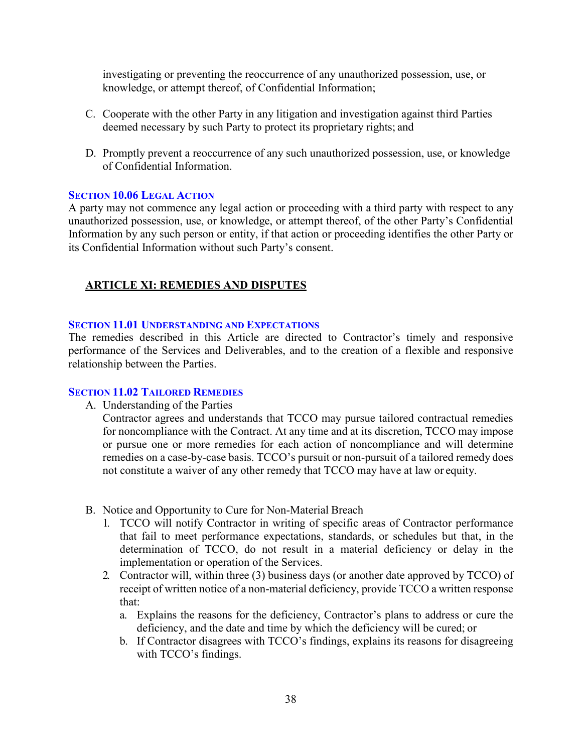investigating or preventing the reoccurrence of any unauthorized possession, use, or knowledge, or attempt thereof, of Confidential Information;

- C. Cooperate with the other Party in any litigation and investigation against third Parties deemed necessary by such Party to protect its proprietary rights; and
- D. Promptly prevent a reoccurrence of any such unauthorized possession, use, or knowledge of Confidential Information.

#### <span id="page-37-0"></span>**SECTION 10.06 LEGAL ACTION**

A party may not commence any legal action or proceeding with a third party with respect to any unauthorized possession, use, or knowledge, or attempt thereof, of the other Party's Confidential Information by any such person or entity, if that action or proceeding identifies the other Party or its Confidential Information without such Party's consent.

# <span id="page-37-1"></span>**ARTICLE XI: REMEDIES AND DISPUTES**

#### <span id="page-37-2"></span>**SECTION 11.01 UNDERSTANDING AND EXPECTATIONS**

The remedies described in this Article are directed to Contractor's timely and responsive performance of the Services and Deliverables, and to the creation of a flexible and responsive relationship between the Parties.

#### <span id="page-37-3"></span>**SECTION 11.02 TAILORED REMEDIES**

A. Understanding of the Parties

Contractor agrees and understands that TCCO may pursue tailored contractual remedies for noncompliance with the Contract. At any time and at its discretion, TCCO may impose or pursue one or more remedies for each action of noncompliance and will determine remedies on a case-by-case basis. TCCO's pursuit or non-pursuit of a tailored remedy does not constitute a waiver of any other remedy that TCCO may have at law or equity.

- B. Notice and Opportunity to Cure for Non-Material Breach
	- 1. TCCO will notify Contractor in writing of specific areas of Contractor performance that fail to meet performance expectations, standards, or schedules but that, in the determination of TCCO, do not result in a material deficiency or delay in the implementation or operation of the Services.
	- 2. Contractor will, within three (3) business days (or another date approved by TCCO) of receipt of written notice of a non-material deficiency, provide TCCO a written response that:
		- a. Explains the reasons for the deficiency, Contractor's plans to address or cure the deficiency, and the date and time by which the deficiency will be cured; or
		- b. If Contractor disagrees with TCCO's findings, explains its reasons for disagreeing with TCCO's findings.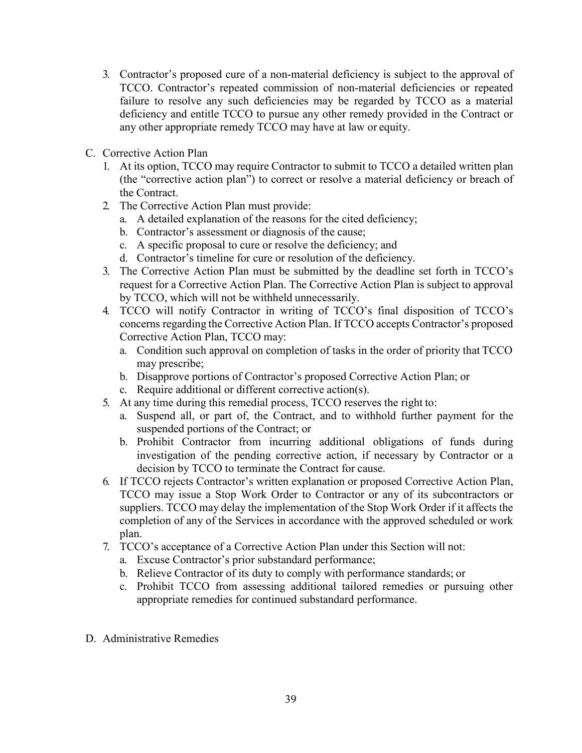- 3. Contractor's proposed cure of a non-material deficiency is subject to the approval of TCCO. Contractor's repeated commission of non-material deficiencies or repeated failure to resolve any such deficiencies may be regarded by TCCO as a material deficiency and entitle TCCO to pursue any other remedy provided in the Contract or any other appropriate remedy TCCO may have at law or equity.
- C. Corrective Action Plan
	- 1. At its option, TCCO may require Contractor to submit to TCCO a detailed written plan (the "corrective action plan") to correct or resolve a material deficiency or breach of the Contract.
	- 2. The Corrective Action Plan must provide:
		- a. A detailed explanation of the reasons for the cited deficiency;
		- b. Contractor's assessment or diagnosis of the cause;
		- c. A specific proposal to cure or resolve the deficiency; and
		- d. Contractor's timeline for cure or resolution of the deficiency.
	- 3. The Corrective Action Plan must be submitted by the deadline set forth in TCCO's request for a Corrective Action Plan. The Corrective Action Plan is subject to approval by TCCO, which will not be withheld unnecessarily.
	- 4. TCCO will notify Contractor in writing of TCCO's final disposition of TCCO's concerns regarding the Corrective Action Plan. If TCCO accepts Contractor's proposed Corrective Action Plan, TCCO may:
		- a. Condition such approval on completion of tasks in the order of priority that TCCO may prescribe;
		- b. Disapprove portions of Contractor's proposed Corrective Action Plan; or
		- c. Require additional or different corrective action(s).
	- 5. At any time during this remedial process, TCCO reserves the right to:
		- a. Suspend all, or part of, the Contract, and to withhold further payment for the suspended portions of the Contract; or
		- b. Prohibit Contractor from incurring additional obligations of funds during investigation of the pending corrective action, if necessary by Contractor or a decision by TCCO to terminate the Contract for cause.
	- 6. If TCCO rejects Contractor's written explanation or proposed Corrective Action Plan, TCCO may issue a Stop Work Order to Contractor or any of its subcontractors or suppliers. TCCO may delay the implementation of the Stop Work Order if it affects the completion of any of the Services in accordance with the approved scheduled or work plan.
	- 7. TCCO's acceptance of a Corrective Action Plan under this Section will not:
		- a. Excuse Contractor's prior substandard performance;
		- b. Relieve Contractor of its duty to comply with performance standards; or
		- c. Prohibit TCCO from assessing additional tailored remedies or pursuing other appropriate remedies for continued substandard performance.
- D. Administrative Remedies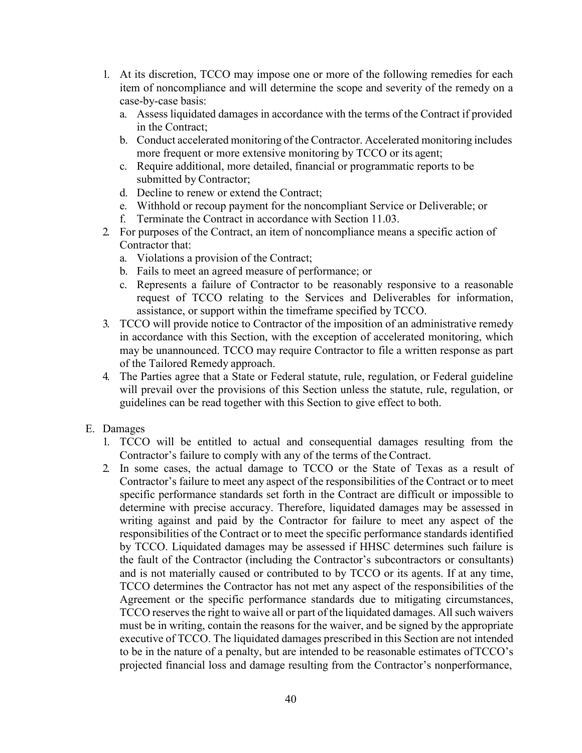- 1. At its discretion, TCCO may impose one or more of the following remedies for each item of noncompliance and will determine the scope and severity of the remedy on a case-by-case basis:
	- a. Assess liquidated damages in accordance with the terms of the Contract if provided in the Contract;
	- b. Conduct accelerated monitoring of the Contractor. Accelerated monitoring includes more frequent or more extensive monitoring by TCCO or its agent;
	- c. Require additional, more detailed, financial or programmatic reports to be submitted by Contractor;
	- d. Decline to renew or extend the Contract;
	- e. Withhold or recoup payment for the noncompliant Service or Deliverable; or
	- f. Terminate the Contract in accordance with Section 11.03.
- 2. For purposes of the Contract, an item of noncompliance means a specific action of Contractor that:
	- a. Violations a provision of the Contract;
	- b. Fails to meet an agreed measure of performance; or
	- c. Represents a failure of Contractor to be reasonably responsive to a reasonable request of TCCO relating to the Services and Deliverables for information, assistance, or support within the timeframe specified by TCCO.
- 3. TCCO will provide notice to Contractor of the imposition of an administrative remedy in accordance with this Section, with the exception of accelerated monitoring, which may be unannounced. TCCO may require Contractor to file a written response as part of the Tailored Remedy approach.
- 4. The Parties agree that a State or Federal statute, rule, regulation, or Federal guideline will prevail over the provisions of this Section unless the statute, rule, regulation, or guidelines can be read together with this Section to give effect to both.
- E. Damages
	- 1. TCCO will be entitled to actual and consequential damages resulting from the Contractor's failure to comply with any of the terms of the Contract.
	- 2. In some cases, the actual damage to TCCO or the State of Texas as a result of Contractor's failure to meet any aspect of the responsibilities of the Contract or to meet specific performance standards set forth in the Contract are difficult or impossible to determine with precise accuracy. Therefore, liquidated damages may be assessed in writing against and paid by the Contractor for failure to meet any aspect of the responsibilities of the Contract or to meet the specific performance standards identified by TCCO. Liquidated damages may be assessed if HHSC determines such failure is the fault of the Contractor (including the Contractor's subcontractors or consultants) and is not materially caused or contributed to by TCCO or its agents. If at any time, TCCO determines the Contractor has not met any aspect of the responsibilities of the Agreement or the specific performance standards due to mitigating circumstances, TCCO reserves the right to waive all or part of the liquidated damages. All such waivers must be in writing, contain the reasons for the waiver, and be signed by the appropriate executive of TCCO. The liquidated damages prescribed in this Section are not intended to be in the nature of a penalty, but are intended to be reasonable estimates ofTCCO's projected financial loss and damage resulting from the Contractor's nonperformance,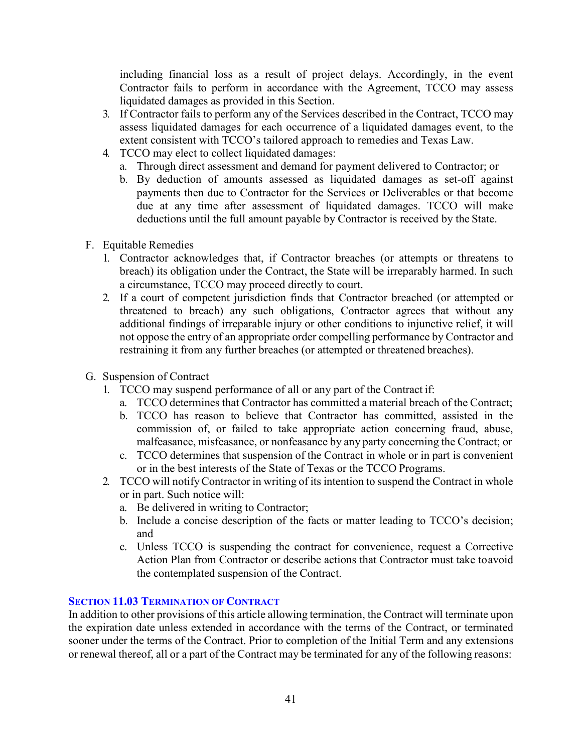including financial loss as a result of project delays. Accordingly, in the event Contractor fails to perform in accordance with the Agreement, TCCO may assess liquidated damages as provided in this Section.

- 3. If Contractor fails to perform any of the Services described in the Contract, TCCO may assess liquidated damages for each occurrence of a liquidated damages event, to the extent consistent with TCCO's tailored approach to remedies and Texas Law.
- 4. TCCO may elect to collect liquidated damages:
	- a. Through direct assessment and demand for payment delivered to Contractor; or
	- b. By deduction of amounts assessed as liquidated damages as set-off against payments then due to Contractor for the Services or Deliverables or that become due at any time after assessment of liquidated damages. TCCO will make deductions until the full amount payable by Contractor is received by the State.
- F. Equitable Remedies
	- 1. Contractor acknowledges that, if Contractor breaches (or attempts or threatens to breach) its obligation under the Contract, the State will be irreparably harmed. In such a circumstance, TCCO may proceed directly to court.
	- 2. If a court of competent jurisdiction finds that Contractor breached (or attempted or threatened to breach) any such obligations, Contractor agrees that without any additional findings of irreparable injury or other conditions to injunctive relief, it will not oppose the entry of an appropriate order compelling performance by Contractor and restraining it from any further breaches (or attempted or threatened breaches).
- G. Suspension of Contract
	- 1. TCCO may suspend performance of all or any part of the Contract if:
		- a. TCCO determines that Contractor has committed a material breach of the Contract;
		- b. TCCO has reason to believe that Contractor has committed, assisted in the commission of, or failed to take appropriate action concerning fraud, abuse, malfeasance, misfeasance, or nonfeasance by any party concerning the Contract; or
		- c. TCCO determines that suspension of the Contract in whole or in part is convenient or in the best interests of the State of Texas or the TCCO Programs.
	- 2. TCCO will notifyContractor in writing of its intention to suspend the Contract in whole or in part. Such notice will:
		- a. Be delivered in writing to Contractor;
		- b. Include a concise description of the facts or matter leading to TCCO's decision; and
		- c. Unless TCCO is suspending the contract for convenience, request a Corrective Action Plan from Contractor or describe actions that Contractor must take toavoid the contemplated suspension of the Contract.

## <span id="page-40-0"></span>**SECTION 11.03 TERMINATION OF CONTRACT**

In addition to other provisions of this article allowing termination, the Contract will terminate upon the expiration date unless extended in accordance with the terms of the Contract, or terminated sooner under the terms of the Contract. Prior to completion of the Initial Term and any extensions or renewal thereof, all or a part of the Contract may be terminated for any of the following reasons: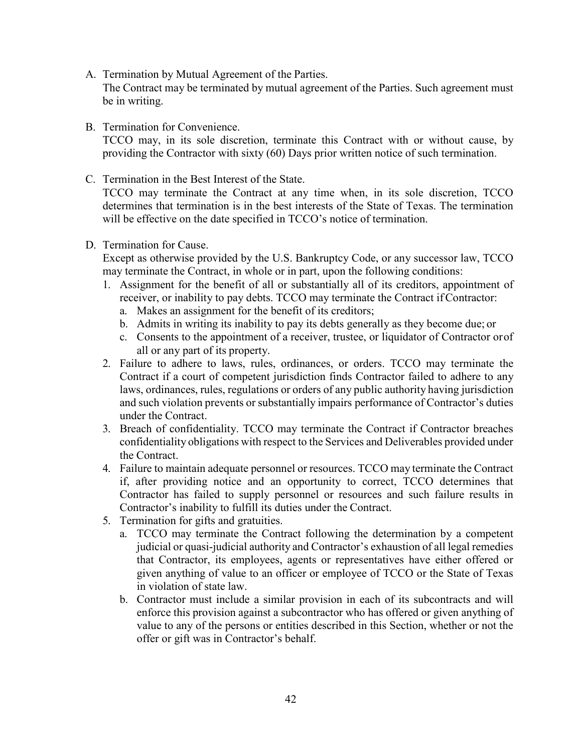A. Termination by Mutual Agreement of the Parties.

The Contract may be terminated by mutual agreement of the Parties. Such agreement must be in writing.

B. Termination for Convenience.

TCCO may, in its sole discretion, terminate this Contract with or without cause, by providing the Contractor with sixty (60) Days prior written notice of such termination.

C. Termination in the Best Interest of the State.

TCCO may terminate the Contract at any time when, in its sole discretion, TCCO determines that termination is in the best interests of the State of Texas. The termination will be effective on the date specified in TCCO's notice of termination.

D. Termination for Cause.

Except as otherwise provided by the U.S. Bankruptcy Code, or any successor law, TCCO may terminate the Contract, in whole or in part, upon the following conditions:

- 1. Assignment for the benefit of all or substantially all of its creditors, appointment of receiver, or inability to pay debts. TCCO may terminate the Contract ifContractor:
	- a. Makes an assignment for the benefit of its creditors;
	- b. Admits in writing its inability to pay its debts generally as they become due; or
	- c. Consents to the appointment of a receiver, trustee, or liquidator of Contractor orof all or any part of its property.
- 2. Failure to adhere to laws, rules, ordinances, or orders. TCCO may terminate the Contract if a court of competent jurisdiction finds Contractor failed to adhere to any laws, ordinances, rules, regulations or orders of any public authority having jurisdiction and such violation prevents or substantially impairs performance of Contractor's duties under the Contract.
- 3. Breach of confidentiality. TCCO may terminate the Contract if Contractor breaches confidentiality obligations with respect to the Services and Deliverables provided under the Contract.
- 4. Failure to maintain adequate personnel or resources. TCCO may terminate the Contract if, after providing notice and an opportunity to correct, TCCO determines that Contractor has failed to supply personnel or resources and such failure results in Contractor's inability to fulfill its duties under the Contract.
- 5. Termination for gifts and gratuities.
	- a. TCCO may terminate the Contract following the determination by a competent judicial or quasi-judicial authority and Contractor's exhaustion of all legal remedies that Contractor, its employees, agents or representatives have either offered or given anything of value to an officer or employee of TCCO or the State of Texas in violation of state law.
	- b. Contractor must include a similar provision in each of its subcontracts and will enforce this provision against a subcontractor who has offered or given anything of value to any of the persons or entities described in this Section, whether or not the offer or gift was in Contractor's behalf.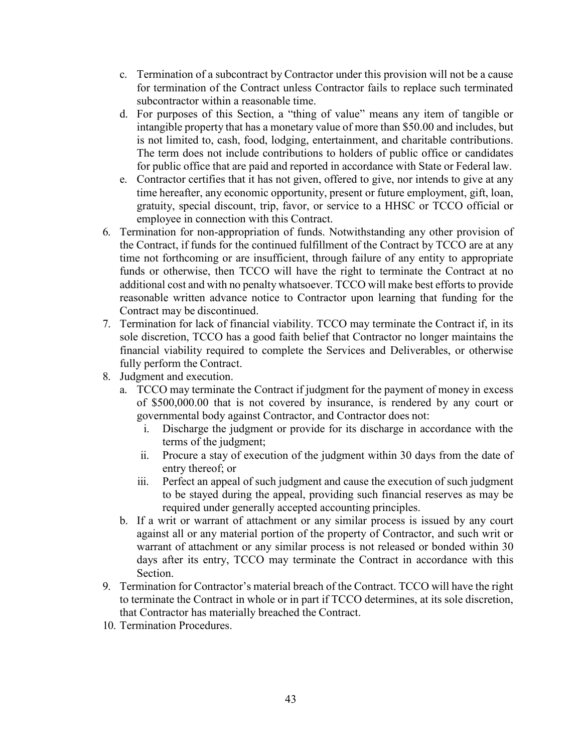- c. Termination of a subcontract by Contractor under this provision will not be a cause for termination of the Contract unless Contractor fails to replace such terminated subcontractor within a reasonable time.
- d. For purposes of this Section, a "thing of value" means any item of tangible or intangible property that has a monetary value of more than \$50.00 and includes, but is not limited to, cash, food, lodging, entertainment, and charitable contributions. The term does not include contributions to holders of public office or candidates for public office that are paid and reported in accordance with State or Federal law.
- e. Contractor certifies that it has not given, offered to give, nor intends to give at any time hereafter, any economic opportunity, present or future employment, gift, loan, gratuity, special discount, trip, favor, or service to a HHSC or TCCO official or employee in connection with this Contract.
- 6. Termination for non-appropriation of funds. Notwithstanding any other provision of the Contract, if funds for the continued fulfillment of the Contract by TCCO are at any time not forthcoming or are insufficient, through failure of any entity to appropriate funds or otherwise, then TCCO will have the right to terminate the Contract at no additional cost and with no penalty whatsoever. TCCO will make best efforts to provide reasonable written advance notice to Contractor upon learning that funding for the Contract may be discontinued.
- 7. Termination for lack of financial viability. TCCO may terminate the Contract if, in its sole discretion, TCCO has a good faith belief that Contractor no longer maintains the financial viability required to complete the Services and Deliverables, or otherwise fully perform the Contract.
- 8. Judgment and execution.
	- a. TCCO may terminate the Contract if judgment for the payment of money in excess of \$500,000.00 that is not covered by insurance, is rendered by any court or governmental body against Contractor, and Contractor does not:
		- i. Discharge the judgment or provide for its discharge in accordance with the terms of the judgment;
		- ii. Procure a stay of execution of the judgment within 30 days from the date of entry thereof; or
		- iii. Perfect an appeal of such judgment and cause the execution of such judgment to be stayed during the appeal, providing such financial reserves as may be required under generally accepted accounting principles.
	- b. If a writ or warrant of attachment or any similar process is issued by any court against all or any material portion of the property of Contractor, and such writ or warrant of attachment or any similar process is not released or bonded within 30 days after its entry, TCCO may terminate the Contract in accordance with this Section.
- 9. Termination for Contractor's material breach of the Contract. TCCO will have the right to terminate the Contract in whole or in part if TCCO determines, at its sole discretion, that Contractor has materially breached the Contract.
- 10. Termination Procedures.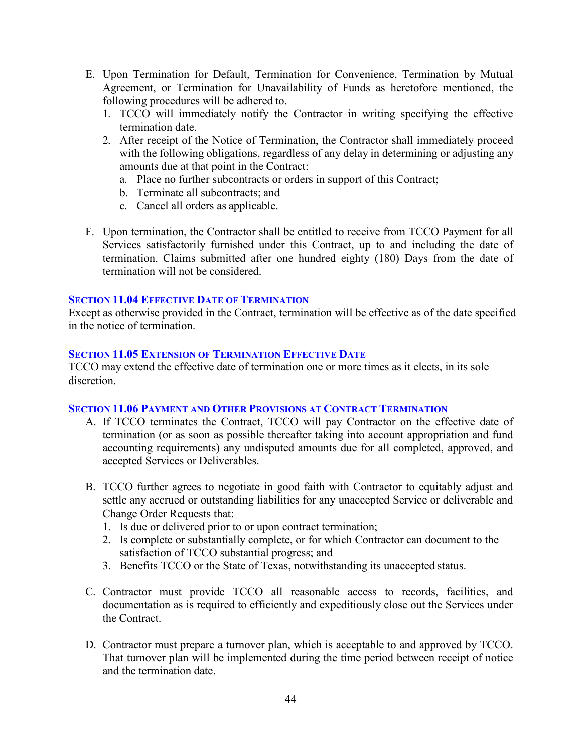- E. Upon Termination for Default, Termination for Convenience, Termination by Mutual Agreement, or Termination for Unavailability of Funds as heretofore mentioned, the following procedures will be adhered to.
	- 1. TCCO will immediately notify the Contractor in writing specifying the effective termination date.
	- 2. After receipt of the Notice of Termination, the Contractor shall immediately proceed with the following obligations, regardless of any delay in determining or adjusting any amounts due at that point in the Contract:
		- a. Place no further subcontracts or orders in support of this Contract;
		- b. Terminate all subcontracts; and
		- c. Cancel all orders as applicable.
- F. Upon termination, the Contractor shall be entitled to receive from TCCO Payment for all Services satisfactorily furnished under this Contract, up to and including the date of termination. Claims submitted after one hundred eighty (180) Days from the date of termination will not be considered.

## <span id="page-43-0"></span>**SECTION 11.04 EFFECTIVE DATE OF TERMINATION**

Except as otherwise provided in the Contract, termination will be effective as of the date specified in the notice of termination.

#### <span id="page-43-1"></span>**SECTION 11.05 EXTENSION OF TERMINATION EFFECTIVE DATE**

TCCO may extend the effective date of termination one or more times as it elects, in its sole discretion.

## <span id="page-43-2"></span>**SECTION 11.06 PAYMENT AND OTHER PROVISIONS AT CONTRACT TERMINATION**

- A. If TCCO terminates the Contract, TCCO will pay Contractor on the effective date of termination (or as soon as possible thereafter taking into account appropriation and fund accounting requirements) any undisputed amounts due for all completed, approved, and accepted Services or Deliverables.
- B. TCCO further agrees to negotiate in good faith with Contractor to equitably adjust and settle any accrued or outstanding liabilities for any unaccepted Service or deliverable and Change Order Requests that:
	- 1. Is due or delivered prior to or upon contract termination;
	- 2. Is complete or substantially complete, or for which Contractor can document to the satisfaction of TCCO substantial progress; and
	- 3. Benefits TCCO or the State of Texas, notwithstanding its unaccepted status.
- C. Contractor must provide TCCO all reasonable access to records, facilities, and documentation as is required to efficiently and expeditiously close out the Services under the Contract.
- D. Contractor must prepare a turnover plan, which is acceptable to and approved by TCCO. That turnover plan will be implemented during the time period between receipt of notice and the termination date.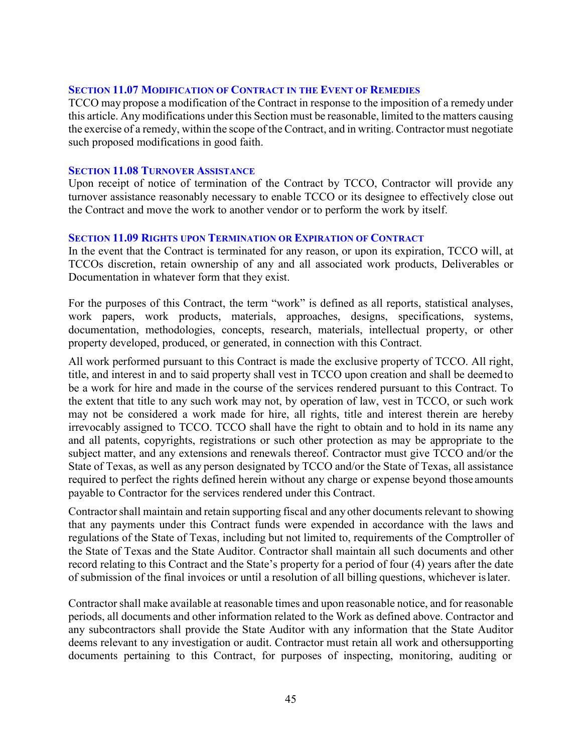#### <span id="page-44-0"></span>**SECTION 11.07 MODIFICATION OF CONTRACT IN THE EVENT OF REMEDIES**

TCCO may propose a modification of the Contract in response to the imposition of a remedy under this article. Any modifications under this Section must be reasonable, limited to the matters causing the exercise of a remedy, within the scope of the Contract, and in writing. Contractor must negotiate such proposed modifications in good faith.

#### <span id="page-44-1"></span>**SECTION 11.08 TURNOVER ASSISTANCE**

Upon receipt of notice of termination of the Contract by TCCO, Contractor will provide any turnover assistance reasonably necessary to enable TCCO or its designee to effectively close out the Contract and move the work to another vendor or to perform the work by itself.

## <span id="page-44-2"></span>**SECTION 11.09 RIGHTS UPON TERMINATION OR EXPIRATION OF CONTRACT**

In the event that the Contract is terminated for any reason, or upon its expiration, TCCO will, at TCCOs discretion, retain ownership of any and all associated work products, Deliverables or Documentation in whatever form that they exist.

For the purposes of this Contract, the term "work" is defined as all reports, statistical analyses, work papers, work products, materials, approaches, designs, specifications, systems, documentation, methodologies, concepts, research, materials, intellectual property, or other property developed, produced, or generated, in connection with this Contract.

All work performed pursuant to this Contract is made the exclusive property of TCCO. All right, title, and interest in and to said property shall vest in TCCO upon creation and shall be deemed to be a work for hire and made in the course of the services rendered pursuant to this Contract. To the extent that title to any such work may not, by operation of law, vest in TCCO, or such work may not be considered a work made for hire, all rights, title and interest therein are hereby irrevocably assigned to TCCO. TCCO shall have the right to obtain and to hold in its name any and all patents, copyrights, registrations or such other protection as may be appropriate to the subject matter, and any extensions and renewals thereof. Contractor must give TCCO and/or the State of Texas, as well as any person designated by TCCO and/or the State of Texas, all assistance required to perfect the rights defined herein without any charge or expense beyond those amounts payable to Contractor for the services rendered under this Contract.

Contractor shall maintain and retain supporting fiscal and any other documents relevant to showing that any payments under this Contract funds were expended in accordance with the laws and regulations of the State of Texas, including but not limited to, requirements of the Comptroller of the State of Texas and the State Auditor. Contractor shall maintain all such documents and other record relating to this Contract and the State's property for a period of four (4) years after the date of submission of the final invoices or until a resolution of all billing questions, whichever islater.

Contractor shall make available at reasonable times and upon reasonable notice, and for reasonable periods, all documents and other information related to the Work as defined above. Contractor and any subcontractors shall provide the State Auditor with any information that the State Auditor deems relevant to any investigation or audit. Contractor must retain all work and othersupporting documents pertaining to this Contract, for purposes of inspecting, monitoring, auditing or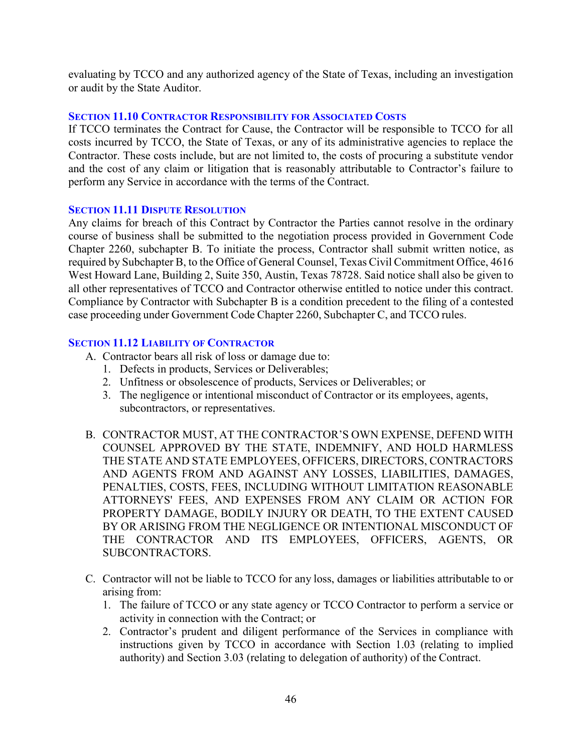evaluating by TCCO and any authorized agency of the State of Texas, including an investigation or audit by the State Auditor.

## <span id="page-45-0"></span>**SECTION 11.10 CONTRACTOR RESPONSIBILITY FOR ASSOCIATED COSTS**

If TCCO terminates the Contract for Cause, the Contractor will be responsible to TCCO for all costs incurred by TCCO, the State of Texas, or any of its administrative agencies to replace the Contractor. These costs include, but are not limited to, the costs of procuring a substitute vendor and the cost of any claim or litigation that is reasonably attributable to Contractor's failure to perform any Service in accordance with the terms of the Contract.

## <span id="page-45-1"></span>**SECTION 11.11 DISPUTE RESOLUTION**

Any claims for breach of this Contract by Contractor the Parties cannot resolve in the ordinary course of business shall be submitted to the negotiation process provided in Government Code Chapter 2260, subchapter B. To initiate the process, Contractor shall submit written notice, as required by Subchapter B, to the Office of General Counsel, Texas Civil Commitment Office, 4616 West Howard Lane, Building 2, Suite 350, Austin, Texas 78728. Said notice shall also be given to all other representatives of TCCO and Contractor otherwise entitled to notice under this contract. Compliance by Contractor with Subchapter B is a condition precedent to the filing of a contested case proceeding under Government Code Chapter 2260, Subchapter C, and TCCO rules.

## <span id="page-45-2"></span>**SECTION 11.12 LIABILITY OF CONTRACTOR**

- A. Contractor bears all risk of loss or damage due to:
	- 1. Defects in products, Services or Deliverables;
	- 2. Unfitness or obsolescence of products, Services or Deliverables; or
	- 3. The negligence or intentional misconduct of Contractor or its employees, agents, subcontractors, or representatives.
- B. CONTRACTOR MUST, AT THE CONTRACTOR'S OWN EXPENSE, DEFEND WITH COUNSEL APPROVED BY THE STATE, INDEMNIFY, AND HOLD HARMLESS THE STATE AND STATE EMPLOYEES, OFFICERS, DIRECTORS, CONTRACTORS AND AGENTS FROM AND AGAINST ANY LOSSES, LIABILITIES, DAMAGES, PENALTIES, COSTS, FEES, INCLUDING WITHOUT LIMITATION REASONABLE ATTORNEYS' FEES, AND EXPENSES FROM ANY CLAIM OR ACTION FOR PROPERTY DAMAGE, BODILY INJURY OR DEATH, TO THE EXTENT CAUSED BY OR ARISING FROM THE NEGLIGENCE OR INTENTIONAL MISCONDUCT OF THE CONTRACTOR AND ITS EMPLOYEES, OFFICERS, AGENTS, OR SUBCONTRACTORS.
- C. Contractor will not be liable to TCCO for any loss, damages or liabilities attributable to or arising from:
	- 1. The failure of TCCO or any state agency or TCCO Contractor to perform a service or activity in connection with the Contract; or
	- 2. Contractor's prudent and diligent performance of the Services in compliance with instructions given by TCCO in accordance with Section 1.03 (relating to implied authority) and Section 3.03 (relating to delegation of authority) of the Contract.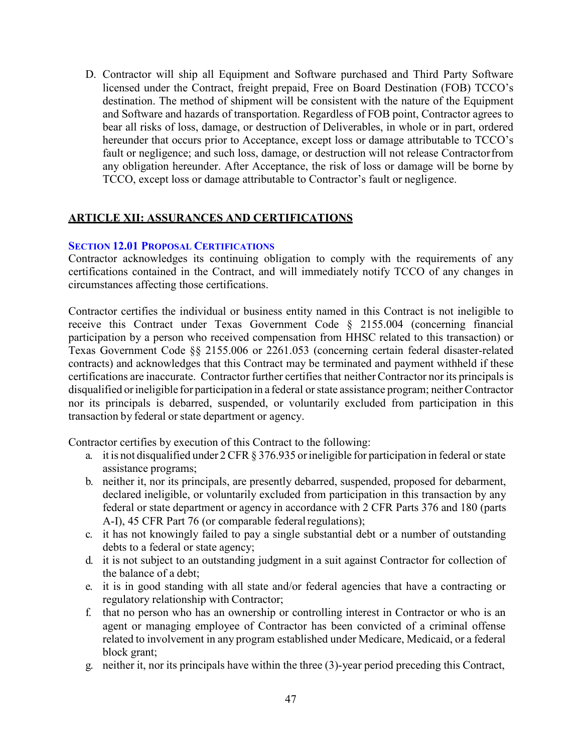D. Contractor will ship all Equipment and Software purchased and Third Party Software licensed under the Contract, freight prepaid, Free on Board Destination (FOB) TCCO's destination. The method of shipment will be consistent with the nature of the Equipment and Software and hazards of transportation. Regardless of FOB point, Contractor agrees to bear all risks of loss, damage, or destruction of Deliverables, in whole or in part, ordered hereunder that occurs prior to Acceptance, except loss or damage attributable to TCCO's fault or negligence; and such loss, damage, or destruction will not release Contractorfrom any obligation hereunder. After Acceptance, the risk of loss or damage will be borne by TCCO, except loss or damage attributable to Contractor's fault or negligence.

# <span id="page-46-0"></span>**ARTICLE XII: ASSURANCES AND CERTIFICATIONS**

## <span id="page-46-1"></span>**SECTION 12.01 PROPOSAL CERTIFICATIONS**

Contractor acknowledges its continuing obligation to comply with the requirements of any certifications contained in the Contract, and will immediately notify TCCO of any changes in circumstances affecting those certifications.

Contractor certifies the individual or business entity named in this Contract is not ineligible to receive this Contract under Texas Government Code § 2155.004 (concerning financial participation by a person who received compensation from HHSC related to this transaction) or Texas Government Code §§ 2155.006 or 2261.053 (concerning certain federal disaster-related contracts) and acknowledges that this Contract may be terminated and payment withheld if these certifications are inaccurate. Contractor further certifies that neither Contractor nor its principals is disqualified or ineligible for participation in a federal or state assistance program; neither Contractor nor its principals is debarred, suspended, or voluntarily excluded from participation in this transaction by federal or state department or agency.

Contractor certifies by execution of this Contract to the following:

- a. it is not disqualified under 2 CFR § 376.935 or ineligible for participation in federal or state assistance programs;
- b. neither it, nor its principals, are presently debarred, suspended, proposed for debarment, declared ineligible, or voluntarily excluded from participation in this transaction by any federal or state department or agency in accordance with 2 CFR Parts 376 and 180 (parts A-I), 45 CFR Part 76 (or comparable federal regulations);
- c. it has not knowingly failed to pay a single substantial debt or a number of outstanding debts to a federal or state agency;
- d. it is not subject to an outstanding judgment in a suit against Contractor for collection of the balance of a debt;
- e. it is in good standing with all state and/or federal agencies that have a contracting or regulatory relationship with Contractor;
- f. that no person who has an ownership or controlling interest in Contractor or who is an agent or managing employee of Contractor has been convicted of a criminal offense related to involvement in any program established under Medicare, Medicaid, or a federal block grant;
- g. neither it, nor its principals have within the three (3)-year period preceding this Contract,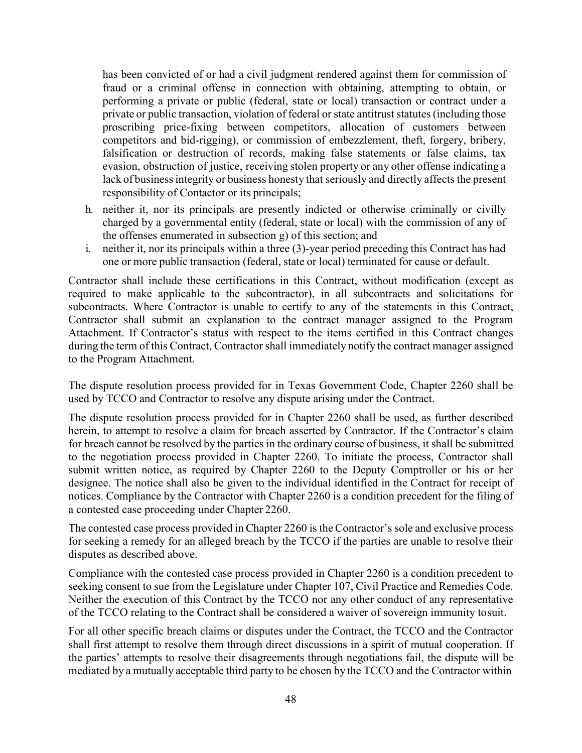has been convicted of or had a civil judgment rendered against them for commission of fraud or a criminal offense in connection with obtaining, attempting to obtain, or performing a private or public (federal, state or local) transaction or contract under a private or public transaction, violation of federal or state antitrust statutes(including those proscribing price-fixing between competitors, allocation of customers between competitors and bid-rigging), or commission of embezzlement, theft, forgery, bribery, falsification or destruction of records, making false statements or false claims, tax evasion, obstruction of justice, receiving stolen property or any other offense indicating a lack of business integrity or business honesty that seriously and directly affects the present responsibility of Contactor or its principals;

- h. neither it, nor its principals are presently indicted or otherwise criminally or civilly charged by a governmental entity (federal, state or local) with the commission of any of the offenses enumerated in subsection g) of this section; and
- i. neither it, nor its principals within a three (3)-year period preceding this Contract has had one or more public transaction (federal, state or local) terminated for cause or default.

Contractor shall include these certifications in this Contract, without modification (except as required to make applicable to the subcontractor), in all subcontracts and solicitations for subcontracts. Where Contractor is unable to certify to any of the statements in this Contract, Contractor shall submit an explanation to the contract manager assigned to the Program Attachment. If Contractor's status with respect to the items certified in this Contract changes during the term of this Contract, Contractor shall immediately notify the contract manager assigned to the Program Attachment.

The dispute resolution process provided for in Texas Government Code, Chapter 2260 shall be used by TCCO and Contractor to resolve any dispute arising under the Contract.

The dispute resolution process provided for in Chapter 2260 shall be used, as further described herein, to attempt to resolve a claim for breach asserted by Contractor. If the Contractor's claim for breach cannot be resolved by the parties in the ordinary course of business, it shall be submitted to the negotiation process provided in Chapter 2260. To initiate the process, Contractor shall submit written notice, as required by Chapter 2260 to the Deputy Comptroller or his or her designee. The notice shall also be given to the individual identified in the Contract for receipt of notices. Compliance by the Contractor with Chapter 2260 is a condition precedent for the filing of a contested case proceeding under Chapter 2260.

The contested case process provided in Chapter 2260 is the Contractor's sole and exclusive process for seeking a remedy for an alleged breach by the TCCO if the parties are unable to resolve their disputes as described above.

Compliance with the contested case process provided in Chapter 2260 is a condition precedent to seeking consent to sue from the Legislature under Chapter 107, Civil Practice and Remedies Code. Neither the execution of this Contract by the TCCO nor any other conduct of any representative of the TCCO relating to the Contract shall be considered a waiver of sovereign immunity tosuit.

For all other specific breach claims or disputes under the Contract, the TCCO and the Contractor shall first attempt to resolve them through direct discussions in a spirit of mutual cooperation. If the parties' attempts to resolve their disagreements through negotiations fail, the dispute will be mediated by a mutually acceptable third party to be chosen by the TCCO and the Contractor within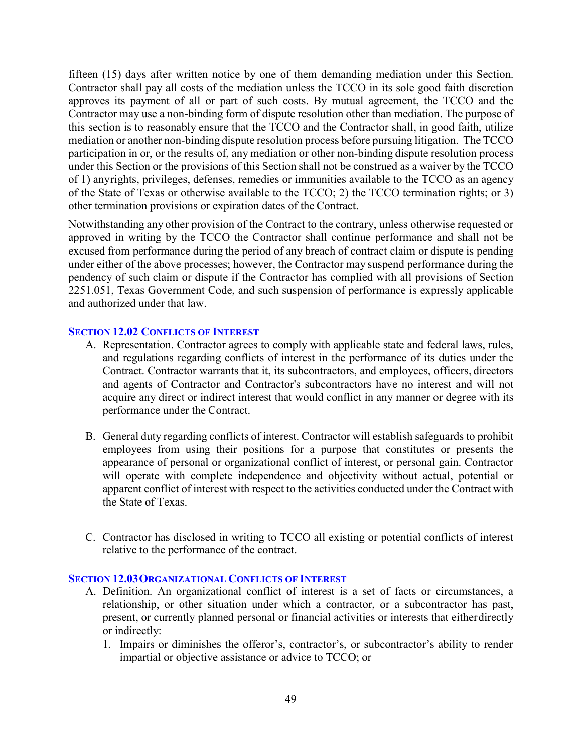fifteen (15) days after written notice by one of them demanding mediation under this Section. Contractor shall pay all costs of the mediation unless the TCCO in its sole good faith discretion approves its payment of all or part of such costs. By mutual agreement, the TCCO and the Contractor may use a non-binding form of dispute resolution other than mediation. The purpose of this section is to reasonably ensure that the TCCO and the Contractor shall, in good faith, utilize mediation or another non-binding dispute resolution process before pursuing litigation. The TCCO participation in or, or the results of, any mediation or other non-binding dispute resolution process under this Section or the provisions of this Section shall not be construed as a waiver by the TCCO of 1) anyrights, privileges, defenses, remedies or immunities available to the TCCO as an agency of the State of Texas or otherwise available to the TCCO; 2) the TCCO termination rights; or 3) other termination provisions or expiration dates of the Contract.

Notwithstanding any other provision of the Contract to the contrary, unless otherwise requested or approved in writing by the TCCO the Contractor shall continue performance and shall not be excused from performance during the period of any breach of contract claim or dispute is pending under either of the above processes; however, the Contractor may suspend performance during the pendency of such claim or dispute if the Contractor has complied with all provisions of Section 2251.051, Texas Government Code, and such suspension of performance is expressly applicable and authorized under that law.

## <span id="page-48-0"></span>**SECTION 12.02 CONFLICTS OF INTEREST**

- A. Representation. Contractor agrees to comply with applicable state and federal laws, rules, and regulations regarding conflicts of interest in the performance of its duties under the Contract. Contractor warrants that it, its subcontractors, and employees, officers, directors and agents of Contractor and Contractor's subcontractors have no interest and will not acquire any direct or indirect interest that would conflict in any manner or degree with its performance under the Contract.
- B. General duty regarding conflicts of interest. Contractor will establish safeguards to prohibit employees from using their positions for a purpose that constitutes or presents the appearance of personal or organizational conflict of interest, or personal gain. Contractor will operate with complete independence and objectivity without actual, potential or apparent conflict of interest with respect to the activities conducted under the Contract with the State of Texas.
- C. Contractor has disclosed in writing to TCCO all existing or potential conflicts of interest relative to the performance of the contract.

## <span id="page-48-1"></span>**SECTION 12.03ORGANIZATIONAL CONFLICTS OF INTEREST**

- A. Definition. An organizational conflict of interest is a set of facts or circumstances, a relationship, or other situation under which a contractor, or a subcontractor has past, present, or currently planned personal or financial activities or interests that eitherdirectly or indirectly:
	- 1. Impairs or diminishes the offeror's, contractor's, or subcontractor's ability to render impartial or objective assistance or advice to TCCO; or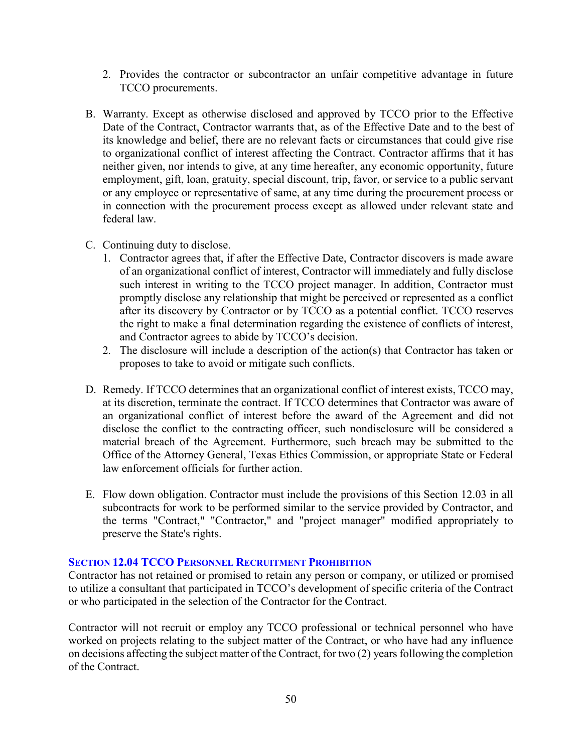- 2. Provides the contractor or subcontractor an unfair competitive advantage in future TCCO procurements.
- B. Warranty. Except as otherwise disclosed and approved by TCCO prior to the Effective Date of the Contract, Contractor warrants that, as of the Effective Date and to the best of its knowledge and belief, there are no relevant facts or circumstances that could give rise to organizational conflict of interest affecting the Contract. Contractor affirms that it has neither given, nor intends to give, at any time hereafter, any economic opportunity, future employment, gift, loan, gratuity, special discount, trip, favor, or service to a public servant or any employee or representative of same, at any time during the procurement process or in connection with the procurement process except as allowed under relevant state and federal law.
- C. Continuing duty to disclose.
	- 1. Contractor agrees that, if after the Effective Date, Contractor discovers is made aware of an organizational conflict of interest, Contractor will immediately and fully disclose such interest in writing to the TCCO project manager. In addition, Contractor must promptly disclose any relationship that might be perceived or represented as a conflict after its discovery by Contractor or by TCCO as a potential conflict. TCCO reserves the right to make a final determination regarding the existence of conflicts of interest, and Contractor agrees to abide by TCCO's decision.
	- 2. The disclosure will include a description of the action(s) that Contractor has taken or proposes to take to avoid or mitigate such conflicts.
- D. Remedy. If TCCO determines that an organizational conflict of interest exists, TCCO may, at its discretion, terminate the contract. If TCCO determines that Contractor was aware of an organizational conflict of interest before the award of the Agreement and did not disclose the conflict to the contracting officer, such nondisclosure will be considered a material breach of the Agreement. Furthermore, such breach may be submitted to the Office of the Attorney General, Texas Ethics Commission, or appropriate State or Federal law enforcement officials for further action.
- E. Flow down obligation. Contractor must include the provisions of this Section 12.03 in all subcontracts for work to be performed similar to the service provided by Contractor, and the terms "Contract," "Contractor," and "project manager" modified appropriately to preserve the State's rights.

## <span id="page-49-0"></span>**SECTION 12.04 TCCO PERSONNEL RECRUITMENT PROHIBITION**

Contractor has not retained or promised to retain any person or company, or utilized or promised to utilize a consultant that participated in TCCO's development of specific criteria of the Contract or who participated in the selection of the Contractor for the Contract.

Contractor will not recruit or employ any TCCO professional or technical personnel who have worked on projects relating to the subject matter of the Contract, or who have had any influence on decisions affecting the subject matter of the Contract, for two (2) years following the completion of the Contract.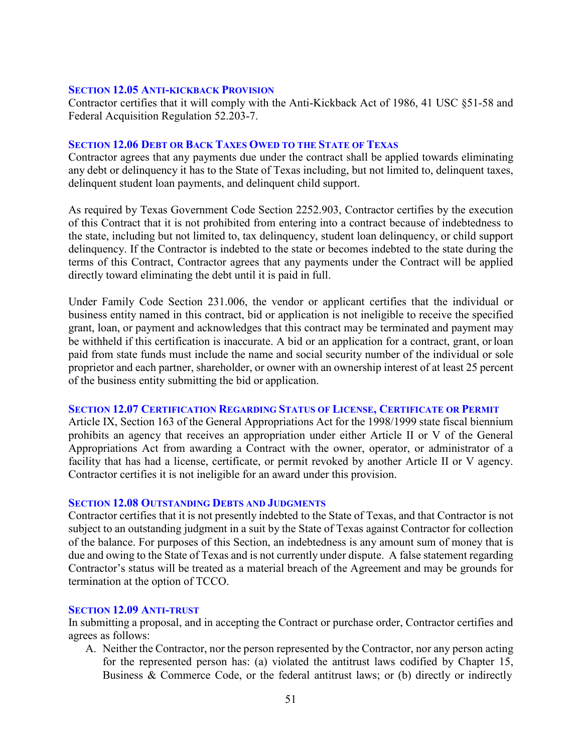#### <span id="page-50-0"></span>**SECTION 12.05 ANTI-KICKBACK PROVISION**

Contractor certifies that it will comply with the Anti-Kickback Act of 1986, 41 USC §51-58 and Federal Acquisition Regulation 52.203-7.

#### <span id="page-50-1"></span>**SECTION 12.06 DEBT OR BACK TAXES OWED TO THE STATE OF TEXAS**

Contractor agrees that any payments due under the contract shall be applied towards eliminating any debt or delinquency it has to the State of Texas including, but not limited to, delinquent taxes, delinquent student loan payments, and delinquent child support.

As required by Texas Government Code Section 2252.903, Contractor certifies by the execution of this Contract that it is not prohibited from entering into a contract because of indebtedness to the state, including but not limited to, tax delinquency, student loan delinquency, or child support delinquency. If the Contractor is indebted to the state or becomes indebted to the state during the terms of this Contract, Contractor agrees that any payments under the Contract will be applied directly toward eliminating the debt until it is paid in full.

Under Family Code Section 231.006, the vendor or applicant certifies that the individual or business entity named in this contract, bid or application is not ineligible to receive the specified grant, loan, or payment and acknowledges that this contract may be terminated and payment may be withheld if this certification is inaccurate. A bid or an application for a contract, grant, orloan paid from state funds must include the name and social security number of the individual or sole proprietor and each partner, shareholder, or owner with an ownership interest of at least 25 percent of the business entity submitting the bid or application.

#### <span id="page-50-2"></span>**SECTION 12.07 CERTIFICATION REGARDING STATUS OF LICENSE, CERTIFICATE OR PERMIT**

Article IX, Section 163 of the General Appropriations Act for the 1998/1999 state fiscal biennium prohibits an agency that receives an appropriation under either Article II or V of the General Appropriations Act from awarding a Contract with the owner, operator, or administrator of a facility that has had a license, certificate, or permit revoked by another Article II or V agency. Contractor certifies it is not ineligible for an award under this provision.

#### <span id="page-50-3"></span>**SECTION 12.08 OUTSTANDING DEBTS AND JUDGMENTS**

Contractor certifies that it is not presently indebted to the State of Texas, and that Contractor is not subject to an outstanding judgment in a suit by the State of Texas against Contractor for collection of the balance. For purposes of this Section, an indebtedness is any amount sum of money that is due and owing to the State of Texas and is not currently under dispute. A false statement regarding Contractor's status will be treated as a material breach of the Agreement and may be grounds for termination at the option of TCCO.

#### <span id="page-50-4"></span>**SECTION 12.09 ANTI-TRUST**

In submitting a proposal, and in accepting the Contract or purchase order, Contractor certifies and agrees as follows:

A. Neither the Contractor, nor the person represented by the Contractor, nor any person acting for the represented person has: (a) violated the antitrust laws codified by Chapter 15, Business & Commerce Code, or the federal antitrust laws; or (b) directly or indirectly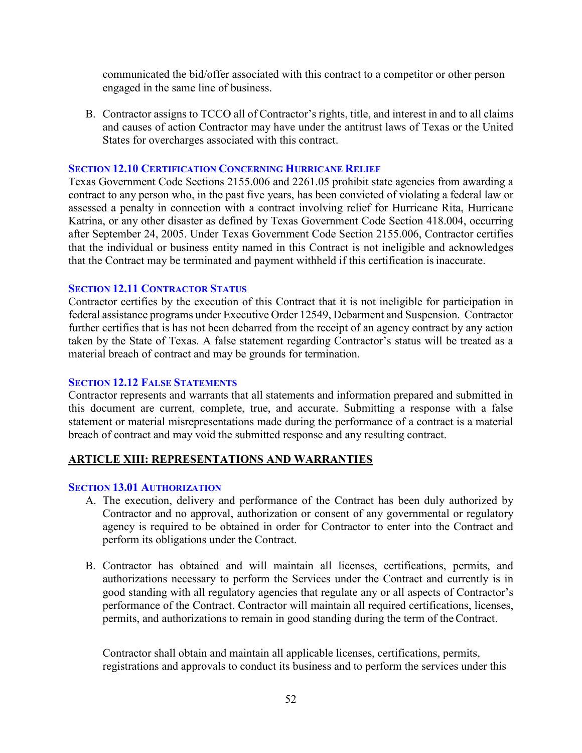communicated the bid/offer associated with this contract to a competitor or other person engaged in the same line of business.

B. Contractor assigns to TCCO all of Contractor's rights, title, and interest in and to all claims and causes of action Contractor may have under the antitrust laws of Texas or the United States for overcharges associated with this contract.

#### <span id="page-51-0"></span>**SECTION 12.10 CERTIFICATION CONCERNING HURRICANE RELIEF**

Texas Government Code Sections 2155.006 and 2261.05 prohibit state agencies from awarding a contract to any person who, in the past five years, has been convicted of violating a federal law or assessed a penalty in connection with a contract involving relief for Hurricane Rita, Hurricane Katrina, or any other disaster as defined by Texas Government Code Section 418.004, occurring after September 24, 2005. Under Texas Government Code Section 2155.006, Contractor certifies that the individual or business entity named in this Contract is not ineligible and acknowledges that the Contract may be terminated and payment withheld if this certification is inaccurate.

## <span id="page-51-1"></span>**SECTION 12.11 CONTRACTOR STATUS**

Contractor certifies by the execution of this Contract that it is not ineligible for participation in federal assistance programs under Executive Order 12549, Debarment and Suspension. Contractor further certifies that is has not been debarred from the receipt of an agency contract by any action taken by the State of Texas. A false statement regarding Contractor's status will be treated as a material breach of contract and may be grounds for termination.

#### <span id="page-51-2"></span>**SECTION 12.12 FALSE STATEMENTS**

Contractor represents and warrants that all statements and information prepared and submitted in this document are current, complete, true, and accurate. Submitting a response with a false statement or material misrepresentations made during the performance of a contract is a material breach of contract and may void the submitted response and any resulting contract.

## <span id="page-51-3"></span>**ARTICLE XIII: REPRESENTATIONS AND WARRANTIES**

## <span id="page-51-4"></span>**SECTION 13.01 AUTHORIZATION**

- A. The execution, delivery and performance of the Contract has been duly authorized by Contractor and no approval, authorization or consent of any governmental or regulatory agency is required to be obtained in order for Contractor to enter into the Contract and perform its obligations under the Contract.
- B. Contractor has obtained and will maintain all licenses, certifications, permits, and authorizations necessary to perform the Services under the Contract and currently is in good standing with all regulatory agencies that regulate any or all aspects of Contractor's performance of the Contract. Contractor will maintain all required certifications, licenses, permits, and authorizations to remain in good standing during the term of theContract.

Contractor shall obtain and maintain all applicable licenses, certifications, permits, registrations and approvals to conduct its business and to perform the services under this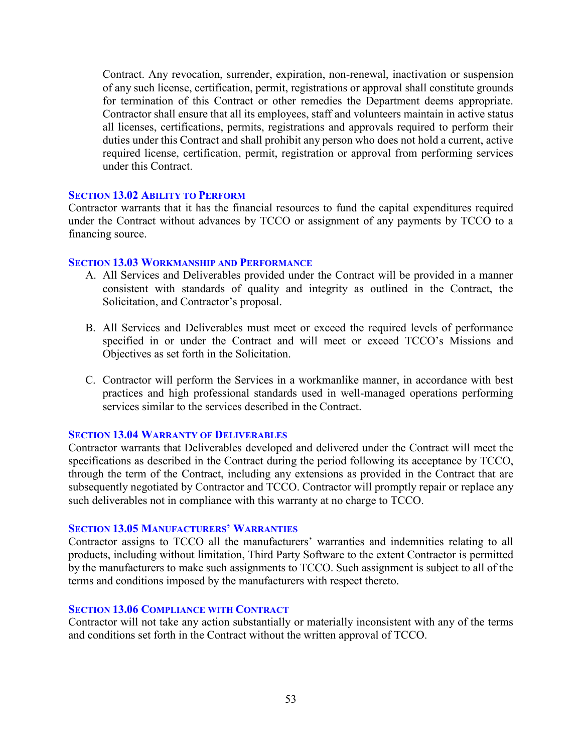Contract. Any revocation, surrender, expiration, non-renewal, inactivation or suspension of any such license, certification, permit, registrations or approval shall constitute grounds for termination of this Contract or other remedies the Department deems appropriate. Contractor shall ensure that all its employees, staff and volunteers maintain in active status all licenses, certifications, permits, registrations and approvals required to perform their duties under this Contract and shall prohibit any person who does not hold a current, active required license, certification, permit, registration or approval from performing services under this Contract.

#### <span id="page-52-0"></span>**SECTION 13.02 ABILITY TO PERFORM**

Contractor warrants that it has the financial resources to fund the capital expenditures required under the Contract without advances by TCCO or assignment of any payments by TCCO to a financing source.

#### <span id="page-52-1"></span>**SECTION 13.03 WORKMANSHIP AND PERFORMANCE**

- A. All Services and Deliverables provided under the Contract will be provided in a manner consistent with standards of quality and integrity as outlined in the Contract, the Solicitation, and Contractor's proposal.
- B. All Services and Deliverables must meet or exceed the required levels of performance specified in or under the Contract and will meet or exceed TCCO's Missions and Objectives as set forth in the Solicitation.
- C. Contractor will perform the Services in a workmanlike manner, in accordance with best practices and high professional standards used in well-managed operations performing services similar to the services described in the Contract.

#### <span id="page-52-2"></span>**SECTION 13.04 WARRANTY OF DELIVERABLES**

Contractor warrants that Deliverables developed and delivered under the Contract will meet the specifications as described in the Contract during the period following its acceptance by TCCO, through the term of the Contract, including any extensions as provided in the Contract that are subsequently negotiated by Contractor and TCCO. Contractor will promptly repair or replace any such deliverables not in compliance with this warranty at no charge to TCCO.

#### <span id="page-52-3"></span>**SECTION 13.05 MANUFACTURERS' WARRANTIES**

Contractor assigns to TCCO all the manufacturers' warranties and indemnities relating to all products, including without limitation, Third Party Software to the extent Contractor is permitted by the manufacturers to make such assignments to TCCO. Such assignment is subject to all of the terms and conditions imposed by the manufacturers with respect thereto.

#### <span id="page-52-4"></span>**SECTION 13.06 COMPLIANCE WITH CONTRACT**

Contractor will not take any action substantially or materially inconsistent with any of the terms and conditions set forth in the Contract without the written approval of TCCO.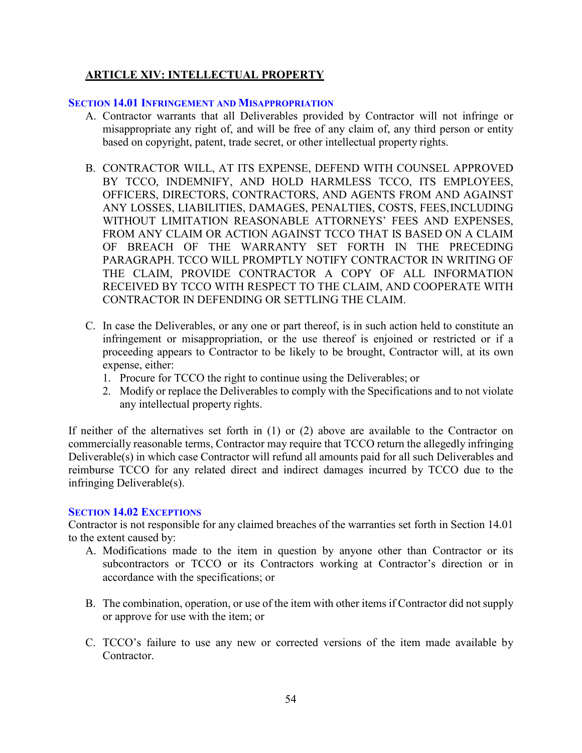# <span id="page-53-0"></span>**ARTICLE XIV: INTELLECTUAL PROPERTY**

#### <span id="page-53-1"></span>**SECTION 14.01 INFRINGEMENT AND MISAPPROPRIATION**

- A. Contractor warrants that all Deliverables provided by Contractor will not infringe or misappropriate any right of, and will be free of any claim of, any third person or entity based on copyright, patent, trade secret, or other intellectual property rights.
- B. CONTRACTOR WILL, AT ITS EXPENSE, DEFEND WITH COUNSEL APPROVED BY TCCO, INDEMNIFY, AND HOLD HARMLESS TCCO, ITS EMPLOYEES, OFFICERS, DIRECTORS, CONTRACTORS, AND AGENTS FROM AND AGAINST ANY LOSSES, LIABILITIES, DAMAGES, PENALTIES, COSTS, FEES,INCLUDING WITHOUT LIMITATION REASONABLE ATTORNEYS' FEES AND EXPENSES, FROM ANY CLAIM OR ACTION AGAINST TCCO THAT IS BASED ON A CLAIM OF BREACH OF THE WARRANTY SET FORTH IN THE PRECEDING PARAGRAPH. TCCO WILL PROMPTLY NOTIFY CONTRACTOR IN WRITING OF THE CLAIM, PROVIDE CONTRACTOR A COPY OF ALL INFORMATION RECEIVED BY TCCO WITH RESPECT TO THE CLAIM, AND COOPERATE WITH CONTRACTOR IN DEFENDING OR SETTLING THE CLAIM.
- C. In case the Deliverables, or any one or part thereof, is in such action held to constitute an infringement or misappropriation, or the use thereof is enjoined or restricted or if a proceeding appears to Contractor to be likely to be brought, Contractor will, at its own expense, either:
	- 1. Procure for TCCO the right to continue using the Deliverables; or
	- 2. Modify or replace the Deliverables to comply with the Specifications and to not violate any intellectual property rights.

If neither of the alternatives set forth in (1) or (2) above are available to the Contractor on commercially reasonable terms, Contractor may require that TCCO return the allegedly infringing Deliverable(s) in which case Contractor will refund all amounts paid for all such Deliverables and reimburse TCCO for any related direct and indirect damages incurred by TCCO due to the infringing Deliverable(s).

#### <span id="page-53-2"></span>**SECTION 14.02 EXCEPTIONS**

Contractor is not responsible for any claimed breaches of the warranties set forth in Section 14.01 to the extent caused by:

- A. Modifications made to the item in question by anyone other than Contractor or its subcontractors or TCCO or its Contractors working at Contractor's direction or in accordance with the specifications; or
- B. The combination, operation, or use of the item with other items if Contractor did not supply or approve for use with the item; or
- C. TCCO's failure to use any new or corrected versions of the item made available by Contractor.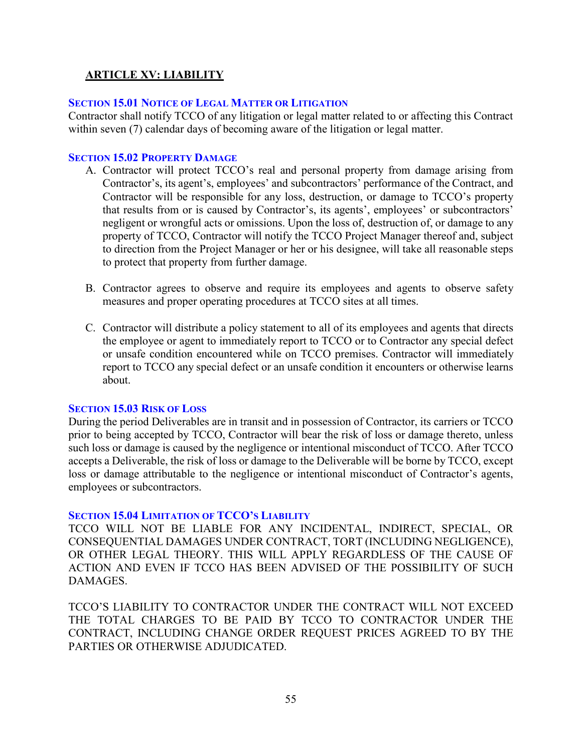# <span id="page-54-0"></span>**ARTICLE XV: LIABILITY**

#### <span id="page-54-1"></span>**SECTION 15.01 NOTICE OF LEGAL MATTER OR LITIGATION**

Contractor shall notify TCCO of any litigation or legal matter related to or affecting this Contract within seven (7) calendar days of becoming aware of the litigation or legal matter.

#### <span id="page-54-2"></span>**SECTION 15.02 PROPERTY DAMAGE**

- A. Contractor will protect TCCO's real and personal property from damage arising from Contractor's, its agent's, employees' and subcontractors' performance of the Contract, and Contractor will be responsible for any loss, destruction, or damage to TCCO's property that results from or is caused by Contractor's, its agents', employees' or subcontractors' negligent or wrongful acts or omissions. Upon the loss of, destruction of, or damage to any property of TCCO, Contractor will notify the TCCO Project Manager thereof and, subject to direction from the Project Manager or her or his designee, will take all reasonable steps to protect that property from further damage.
- B. Contractor agrees to observe and require its employees and agents to observe safety measures and proper operating procedures at TCCO sites at all times.
- C. Contractor will distribute a policy statement to all of its employees and agents that directs the employee or agent to immediately report to TCCO or to Contractor any special defect or unsafe condition encountered while on TCCO premises. Contractor will immediately report to TCCO any special defect or an unsafe condition it encounters or otherwise learns about.

#### <span id="page-54-3"></span>**SECTION 15.03 RISK OF LOSS**

During the period Deliverables are in transit and in possession of Contractor, its carriers or TCCO prior to being accepted by TCCO, Contractor will bear the risk of loss or damage thereto, unless such loss or damage is caused by the negligence or intentional misconduct of TCCO. After TCCO accepts a Deliverable, the risk of loss or damage to the Deliverable will be borne by TCCO, except loss or damage attributable to the negligence or intentional misconduct of Contractor's agents, employees or subcontractors.

## <span id="page-54-4"></span>**SECTION 15.04 LIMITATION OF TCCO'S LIABILITY**

TCCO WILL NOT BE LIABLE FOR ANY INCIDENTAL, INDIRECT, SPECIAL, OR CONSEQUENTIAL DAMAGES UNDER CONTRACT, TORT (INCLUDING NEGLIGENCE), OR OTHER LEGAL THEORY. THIS WILL APPLY REGARDLESS OF THE CAUSE OF ACTION AND EVEN IF TCCO HAS BEEN ADVISED OF THE POSSIBILITY OF SUCH DAMAGES.

TCCO'S LIABILITY TO CONTRACTOR UNDER THE CONTRACT WILL NOT EXCEED THE TOTAL CHARGES TO BE PAID BY TCCO TO CONTRACTOR UNDER THE CONTRACT, INCLUDING CHANGE ORDER REQUEST PRICES AGREED TO BY THE PARTIES OR OTHERWISE ADJUDICATED.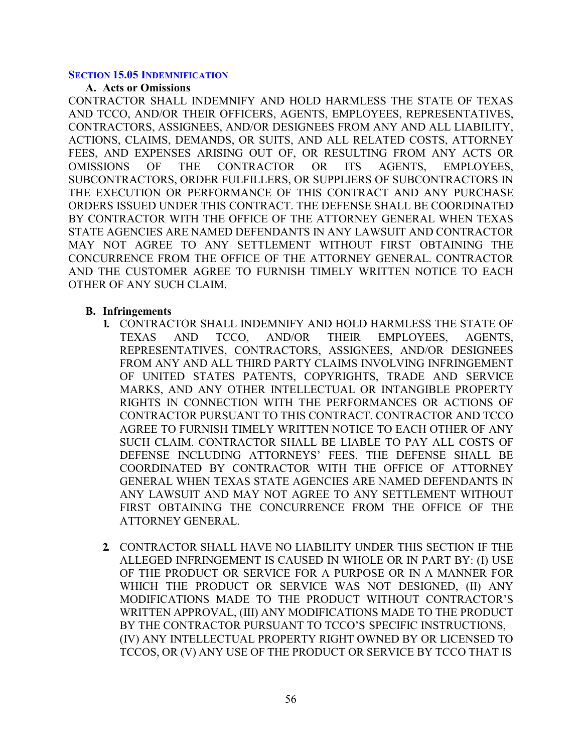#### <span id="page-55-0"></span>**SECTION 15.05 INDEMNIFICATION**

#### **A. Acts or Omissions**

CONTRACTOR SHALL INDEMNIFY AND HOLD HARMLESS THE STATE OF TEXAS AND TCCO, AND/OR THEIR OFFICERS, AGENTS, EMPLOYEES, REPRESENTATIVES, CONTRACTORS, ASSIGNEES, AND/OR DESIGNEES FROM ANY AND ALL LIABILITY, ACTIONS, CLAIMS, DEMANDS, OR SUITS, AND ALL RELATED COSTS, ATTORNEY FEES, AND EXPENSES ARISING OUT OF, OR RESULTING FROM ANY ACTS OR OMISSIONS OF THE CONTRACTOR OR ITS AGENTS, EMPLOYEES, SUBCONTRACTORS, ORDER FULFILLERS, OR SUPPLIERS OF SUBCONTRACTORS IN THE EXECUTION OR PERFORMANCE OF THIS CONTRACT AND ANY PURCHASE ORDERS ISSUED UNDER THIS CONTRACT. THE DEFENSE SHALL BE COORDINATED BY CONTRACTOR WITH THE OFFICE OF THE ATTORNEY GENERAL WHEN TEXAS STATE AGENCIES ARE NAMED DEFENDANTS IN ANY LAWSUIT AND CONTRACTOR MAY NOT AGREE TO ANY SETTLEMENT WITHOUT FIRST OBTAINING THE CONCURRENCE FROM THE OFFICE OF THE ATTORNEY GENERAL. CONTRACTOR AND THE CUSTOMER AGREE TO FURNISH TIMELY WRITTEN NOTICE TO EACH OTHER OF ANY SUCH CLAIM.

#### **B. Infringements**

- **1.** CONTRACTOR SHALL INDEMNIFY AND HOLD HARMLESS THE STATE OF TEXAS AND TCCO, AND/OR THEIR EMPLOYEES, AGENTS, REPRESENTATIVES, CONTRACTORS, ASSIGNEES, AND/OR DESIGNEES FROM ANY AND ALL THIRD PARTY CLAIMS INVOLVING INFRINGEMENT OF UNITED STATES PATENTS, COPYRIGHTS, TRADE AND SERVICE MARKS, AND ANY OTHER INTELLECTUAL OR INTANGIBLE PROPERTY RIGHTS IN CONNECTION WITH THE PERFORMANCES OR ACTIONS OF CONTRACTOR PURSUANT TO THIS CONTRACT. CONTRACTOR AND TCCO AGREE TO FURNISH TIMELY WRITTEN NOTICE TO EACH OTHER OF ANY SUCH CLAIM. CONTRACTOR SHALL BE LIABLE TO PAY ALL COSTS OF DEFENSE INCLUDING ATTORNEYS' FEES. THE DEFENSE SHALL BE COORDINATED BY CONTRACTOR WITH THE OFFICE OF ATTORNEY GENERAL WHEN TEXAS STATE AGENCIES ARE NAMED DEFENDANTS IN ANY LAWSUIT AND MAY NOT AGREE TO ANY SETTLEMENT WITHOUT FIRST OBTAINING THE CONCURRENCE FROM THE OFFICE OF THE ATTORNEY GENERAL.
- **2.** CONTRACTOR SHALL HAVE NO LIABILITY UNDER THIS SECTION IF THE ALLEGED INFRINGEMENT IS CAUSED IN WHOLE OR IN PART BY: (I) USE OF THE PRODUCT OR SERVICE FOR A PURPOSE OR IN A MANNER FOR WHICH THE PRODUCT OR SERVICE WAS NOT DESIGNED, (II) ANY MODIFICATIONS MADE TO THE PRODUCT WITHOUT CONTRACTOR'S WRITTEN APPROVAL, (III) ANY MODIFICATIONS MADE TO THE PRODUCT BY THE CONTRACTOR PURSUANT TO TCCO'S SPECIFIC INSTRUCTIONS, (IV) ANY INTELLECTUAL PROPERTY RIGHT OWNED BY OR LICENSED TO TCCOS, OR (V) ANY USE OF THE PRODUCT OR SERVICE BY TCCO THAT IS